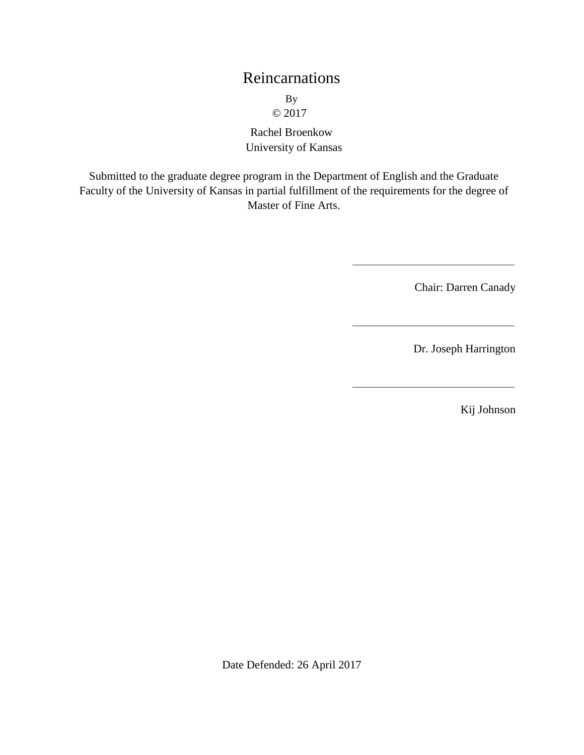# Reincarnations

By © 2017

Rachel Broenkow University of Kansas

Submitted to the graduate degree program in the Department of English and the Graduate Faculty of the University of Kansas in partial fulfillment of the requirements for the degree of Master of Fine Arts.

Chair: Darren Canady

Dr. Joseph Harrington

Kij Johnson

Date Defended: 26 April 2017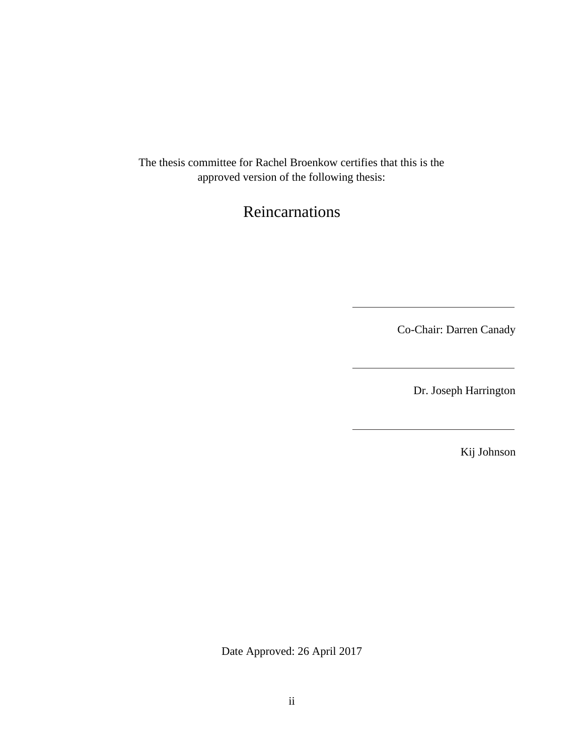The thesis committee for Rachel Broenkow certifies that this is the approved version of the following thesis:

# Reincarnations

Co-Chair: Darren Canady

Dr. Joseph Harrington

Kij Johnson

Date Approved: 26 April 2017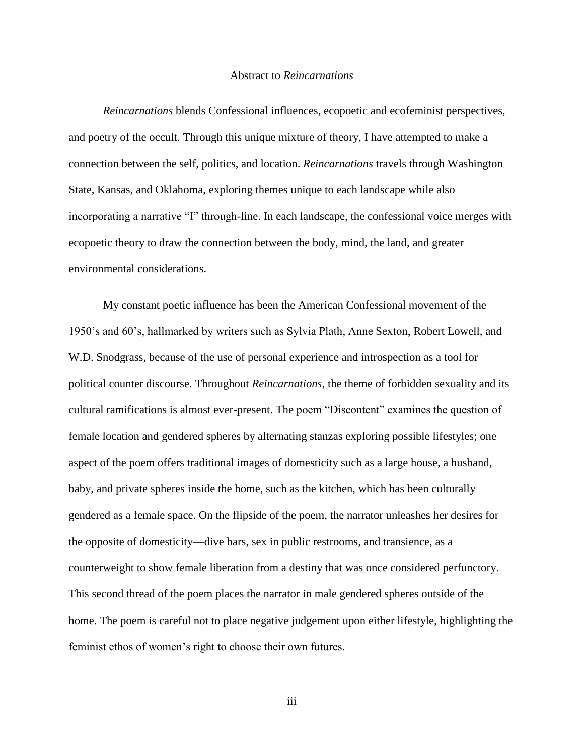#### Abstract to *Reincarnations*

*Reincarnations* blends Confessional influences, ecopoetic and ecofeminist perspectives, and poetry of the occult. Through this unique mixture of theory, I have attempted to make a connection between the self, politics, and location. *Reincarnations* travels through Washington State, Kansas, and Oklahoma, exploring themes unique to each landscape while also incorporating a narrative "I" through-line. In each landscape, the confessional voice merges with ecopoetic theory to draw the connection between the body, mind, the land, and greater environmental considerations.

My constant poetic influence has been the American Confessional movement of the 1950's and 60's, hallmarked by writers such as Sylvia Plath, Anne Sexton, Robert Lowell, and W.D. Snodgrass, because of the use of personal experience and introspection as a tool for political counter discourse. Throughout *Reincarnations*, the theme of forbidden sexuality and its cultural ramifications is almost ever-present. The poem "Discontent" examines the question of female location and gendered spheres by alternating stanzas exploring possible lifestyles; one aspect of the poem offers traditional images of domesticity such as a large house, a husband, baby, and private spheres inside the home, such as the kitchen, which has been culturally gendered as a female space. On the flipside of the poem, the narrator unleashes her desires for the opposite of domesticity—dive bars, sex in public restrooms, and transience, as a counterweight to show female liberation from a destiny that was once considered perfunctory. This second thread of the poem places the narrator in male gendered spheres outside of the home. The poem is careful not to place negative judgement upon either lifestyle, highlighting the feminist ethos of women's right to choose their own futures.

iii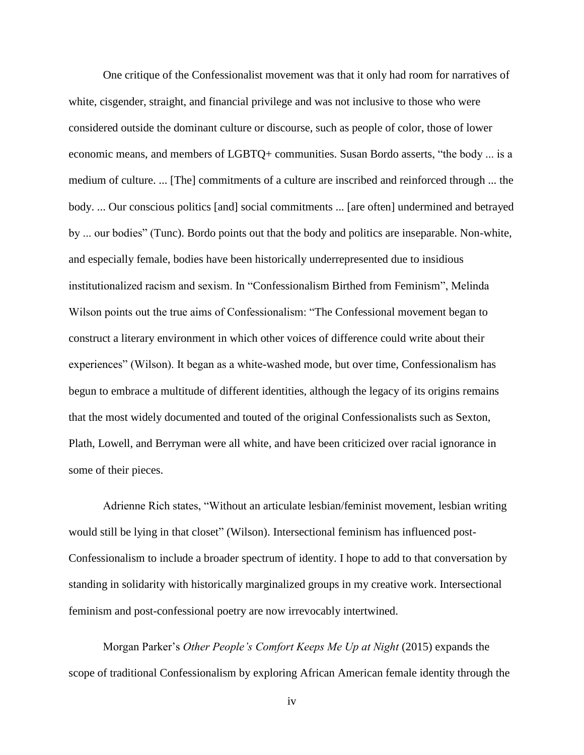One critique of the Confessionalist movement was that it only had room for narratives of white, cisgender, straight, and financial privilege and was not inclusive to those who were considered outside the dominant culture or discourse, such as people of color, those of lower economic means, and members of LGBTQ+ communities. Susan Bordo asserts, "the body ... is a medium of culture. ... [The] commitments of a culture are inscribed and reinforced through ... the body. ... Our conscious politics [and] social commitments ... [are often] undermined and betrayed by ... our bodies" (Tunc). Bordo points out that the body and politics are inseparable. Non-white, and especially female, bodies have been historically underrepresented due to insidious institutionalized racism and sexism. In "Confessionalism Birthed from Feminism", Melinda Wilson points out the true aims of Confessionalism: "The Confessional movement began to construct a literary environment in which other voices of difference could write about their experiences" (Wilson). It began as a white-washed mode, but over time, Confessionalism has begun to embrace a multitude of different identities, although the legacy of its origins remains that the most widely documented and touted of the original Confessionalists such as Sexton, Plath, Lowell, and Berryman were all white, and have been criticized over racial ignorance in some of their pieces.

Adrienne Rich states, "Without an articulate lesbian/feminist movement, lesbian writing would still be lying in that closet" (Wilson). Intersectional feminism has influenced post-Confessionalism to include a broader spectrum of identity. I hope to add to that conversation by standing in solidarity with historically marginalized groups in my creative work. Intersectional feminism and post-confessional poetry are now irrevocably intertwined.

Morgan Parker's *Other People's Comfort Keeps Me Up at Night* (2015) expands the scope of traditional Confessionalism by exploring African American female identity through the

iv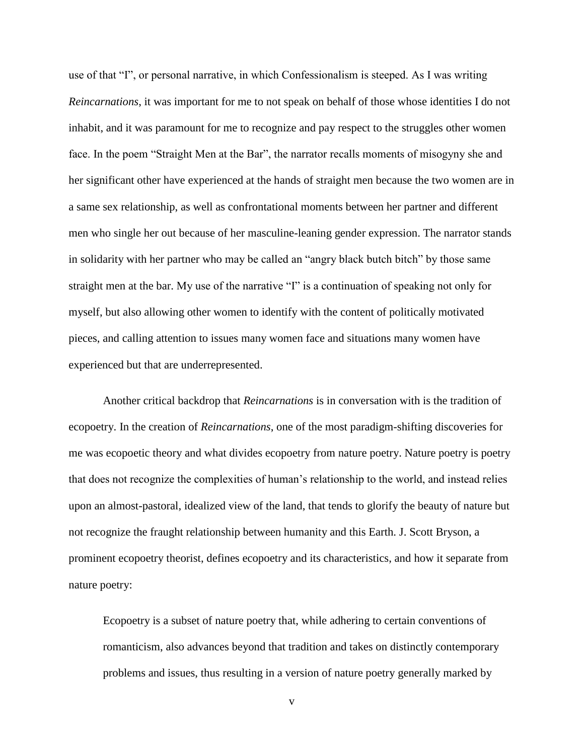use of that "I", or personal narrative, in which Confessionalism is steeped. As I was writing *Reincarnations*, it was important for me to not speak on behalf of those whose identities I do not inhabit, and it was paramount for me to recognize and pay respect to the struggles other women face. In the poem "Straight Men at the Bar", the narrator recalls moments of misogyny she and her significant other have experienced at the hands of straight men because the two women are in a same sex relationship, as well as confrontational moments between her partner and different men who single her out because of her masculine-leaning gender expression. The narrator stands in solidarity with her partner who may be called an "angry black butch bitch" by those same straight men at the bar. My use of the narrative "I" is a continuation of speaking not only for myself, but also allowing other women to identify with the content of politically motivated pieces, and calling attention to issues many women face and situations many women have experienced but that are underrepresented.

Another critical backdrop that *Reincarnations* is in conversation with is the tradition of ecopoetry. In the creation of *Reincarnations*, one of the most paradigm-shifting discoveries for me was ecopoetic theory and what divides ecopoetry from nature poetry. Nature poetry is poetry that does not recognize the complexities of human's relationship to the world, and instead relies upon an almost-pastoral, idealized view of the land, that tends to glorify the beauty of nature but not recognize the fraught relationship between humanity and this Earth. J. Scott Bryson, a prominent ecopoetry theorist, defines ecopoetry and its characteristics, and how it separate from nature poetry:

Ecopoetry is a subset of nature poetry that, while adhering to certain conventions of romanticism, also advances beyond that tradition and takes on distinctly contemporary problems and issues, thus resulting in a version of nature poetry generally marked by

v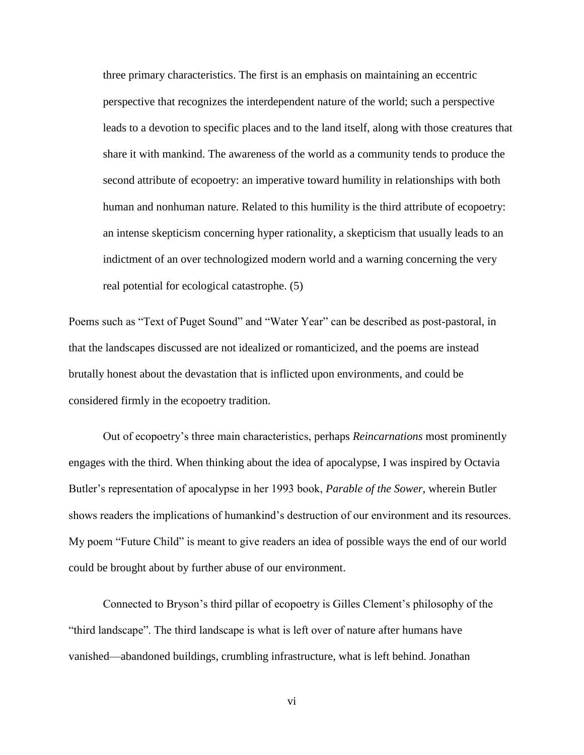three primary characteristics. The first is an emphasis on maintaining an eccentric perspective that recognizes the interdependent nature of the world; such a perspective leads to a devotion to specific places and to the land itself, along with those creatures that share it with mankind. The awareness of the world as a community tends to produce the second attribute of ecopoetry: an imperative toward humility in relationships with both human and nonhuman nature. Related to this humility is the third attribute of ecopoetry: an intense skepticism concerning hyper rationality, a skepticism that usually leads to an indictment of an over technologized modern world and a warning concerning the very real potential for ecological catastrophe. (5)

Poems such as "Text of Puget Sound" and "Water Year" can be described as post-pastoral, in that the landscapes discussed are not idealized or romanticized, and the poems are instead brutally honest about the devastation that is inflicted upon environments, and could be considered firmly in the ecopoetry tradition.

Out of ecopoetry's three main characteristics, perhaps *Reincarnations* most prominently engages with the third. When thinking about the idea of apocalypse, I was inspired by Octavia Butler's representation of apocalypse in her 1993 book, *Parable of the Sower*, wherein Butler shows readers the implications of humankind's destruction of our environment and its resources. My poem "Future Child" is meant to give readers an idea of possible ways the end of our world could be brought about by further abuse of our environment.

Connected to Bryson's third pillar of ecopoetry is Gilles Clement's philosophy of the "third landscape". The third landscape is what is left over of nature after humans have vanished—abandoned buildings, crumbling infrastructure, what is left behind. Jonathan

vi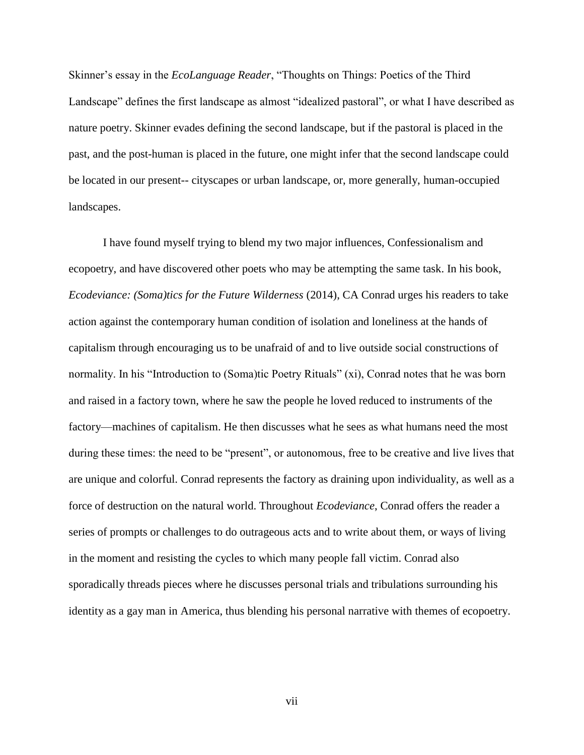Skinner's essay in the *EcoLanguage Reader*, "Thoughts on Things: Poetics of the Third Landscape" defines the first landscape as almost "idealized pastoral", or what I have described as nature poetry. Skinner evades defining the second landscape, but if the pastoral is placed in the past, and the post-human is placed in the future, one might infer that the second landscape could be located in our present-- cityscapes or urban landscape, or, more generally, human-occupied landscapes.

I have found myself trying to blend my two major influences, Confessionalism and ecopoetry, and have discovered other poets who may be attempting the same task. In his book, *Ecodeviance: (Soma)tics for the Future Wilderness* (2014), CA Conrad urges his readers to take action against the contemporary human condition of isolation and loneliness at the hands of capitalism through encouraging us to be unafraid of and to live outside social constructions of normality. In his "Introduction to (Soma)tic Poetry Rituals" (xi), Conrad notes that he was born and raised in a factory town, where he saw the people he loved reduced to instruments of the factory—machines of capitalism. He then discusses what he sees as what humans need the most during these times: the need to be "present", or autonomous, free to be creative and live lives that are unique and colorful. Conrad represents the factory as draining upon individuality, as well as a force of destruction on the natural world. Throughout *Ecodeviance*, Conrad offers the reader a series of prompts or challenges to do outrageous acts and to write about them, or ways of living in the moment and resisting the cycles to which many people fall victim. Conrad also sporadically threads pieces where he discusses personal trials and tribulations surrounding his identity as a gay man in America, thus blending his personal narrative with themes of ecopoetry.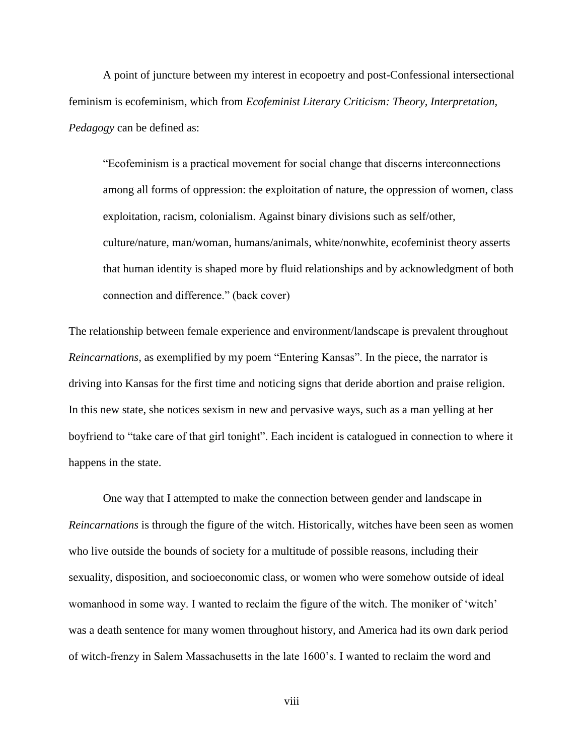A point of juncture between my interest in ecopoetry and post-Confessional intersectional feminism is ecofeminism, which from *Ecofeminist Literary Criticism: Theory, Interpretation, Pedagogy* can be defined as:

"Ecofeminism is a practical movement for social change that discerns interconnections among all forms of oppression: the exploitation of nature, the oppression of women, class exploitation, racism, colonialism. Against binary divisions such as self/other, culture/nature, man/woman, humans/animals, white/nonwhite, ecofeminist theory asserts that human identity is shaped more by fluid relationships and by acknowledgment of both connection and difference." (back cover)

The relationship between female experience and environment/landscape is prevalent throughout *Reincarnations,* as exemplified by my poem "Entering Kansas". In the piece, the narrator is driving into Kansas for the first time and noticing signs that deride abortion and praise religion. In this new state, she notices sexism in new and pervasive ways, such as a man yelling at her boyfriend to "take care of that girl tonight". Each incident is catalogued in connection to where it happens in the state.

One way that I attempted to make the connection between gender and landscape in *Reincarnations* is through the figure of the witch. Historically, witches have been seen as women who live outside the bounds of society for a multitude of possible reasons, including their sexuality, disposition, and socioeconomic class, or women who were somehow outside of ideal womanhood in some way. I wanted to reclaim the figure of the witch. The moniker of 'witch' was a death sentence for many women throughout history, and America had its own dark period of witch-frenzy in Salem Massachusetts in the late 1600's. I wanted to reclaim the word and

viii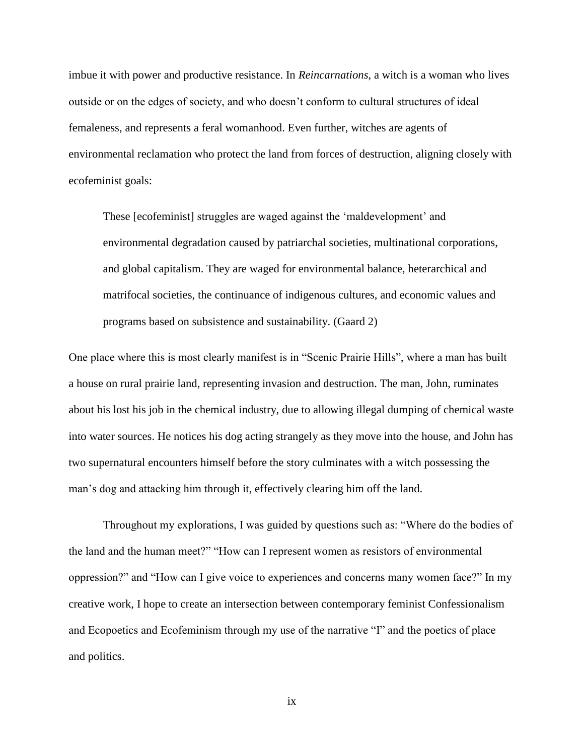imbue it with power and productive resistance. In *Reincarnations*, a witch is a woman who lives outside or on the edges of society, and who doesn't conform to cultural structures of ideal femaleness, and represents a feral womanhood. Even further, witches are agents of environmental reclamation who protect the land from forces of destruction, aligning closely with ecofeminist goals:

These [ecofeminist] struggles are waged against the 'maldevelopment' and environmental degradation caused by patriarchal societies, multinational corporations, and global capitalism. They are waged for environmental balance, heterarchical and matrifocal societies, the continuance of indigenous cultures, and economic values and programs based on subsistence and sustainability. (Gaard 2)

One place where this is most clearly manifest is in "Scenic Prairie Hills", where a man has built a house on rural prairie land, representing invasion and destruction. The man, John, ruminates about his lost his job in the chemical industry, due to allowing illegal dumping of chemical waste into water sources. He notices his dog acting strangely as they move into the house, and John has two supernatural encounters himself before the story culminates with a witch possessing the man's dog and attacking him through it, effectively clearing him off the land.

Throughout my explorations, I was guided by questions such as: "Where do the bodies of the land and the human meet?" "How can I represent women as resistors of environmental oppression?" and "How can I give voice to experiences and concerns many women face?" In my creative work, I hope to create an intersection between contemporary feminist Confessionalism and Ecopoetics and Ecofeminism through my use of the narrative "I" and the poetics of place and politics.

ix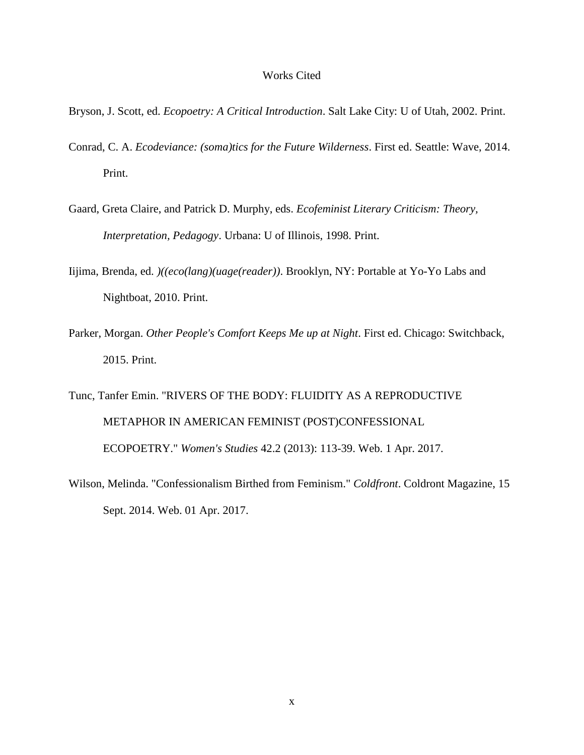#### Works Cited

- Bryson, J. Scott, ed. *Ecopoetry: A Critical Introduction*. Salt Lake City: U of Utah, 2002. Print.
- Conrad, C. A. *Ecodeviance: (soma)tics for the Future Wilderness*. First ed. Seattle: Wave, 2014. Print.
- Gaard, Greta Claire, and Patrick D. Murphy, eds. *Ecofeminist Literary Criticism: Theory, Interpretation, Pedagogy*. Urbana: U of Illinois, 1998. Print.
- Iijima, Brenda, ed. *)((eco(lang)(uage(reader))*. Brooklyn, NY: Portable at Yo-Yo Labs and Nightboat, 2010. Print.
- Parker, Morgan. *Other People's Comfort Keeps Me up at Night*. First ed. Chicago: Switchback, 2015. Print.
- Tunc, Tanfer Emin. "RIVERS OF THE BODY: FLUIDITY AS A REPRODUCTIVE METAPHOR IN AMERICAN FEMINIST (POST)CONFESSIONAL ECOPOETRY." *Women's Studies* 42.2 (2013): 113-39. Web. 1 Apr. 2017.
- Wilson, Melinda. "Confessionalism Birthed from Feminism." *Coldfront*. Coldront Magazine, 15 Sept. 2014. Web. 01 Apr. 2017.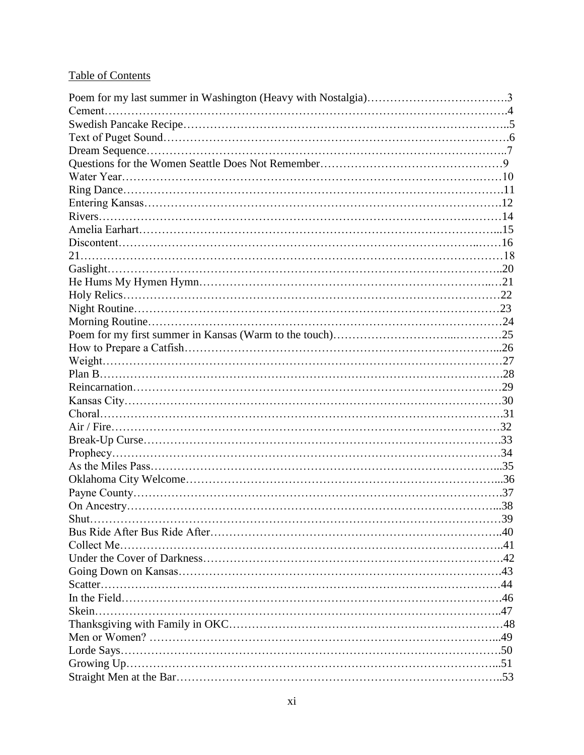# Table of Contents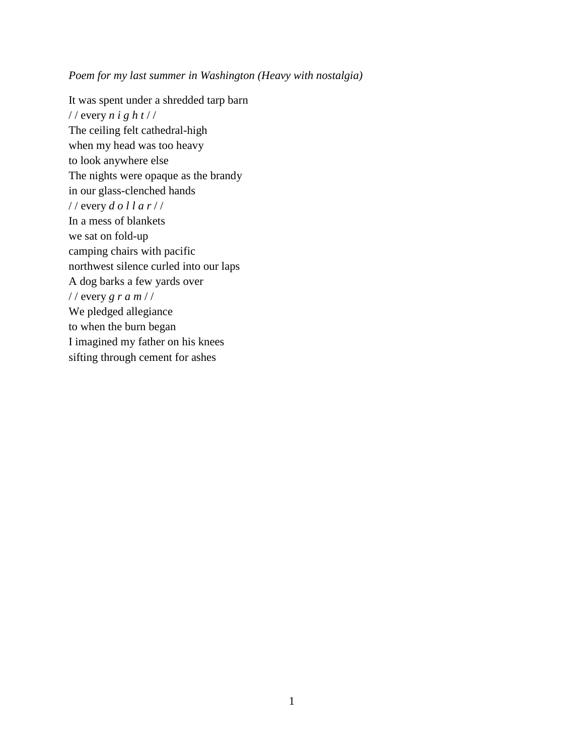*Poem for my last summer in Washington (Heavy with nostalgia)*

It was spent under a shredded tarp barn / / every *n i g h t* / / The ceiling felt cathedral-high when my head was too heavy to look anywhere else The nights were opaque as the brandy in our glass-clenched hands / / every *d o l l a r* / / In a mess of blankets we sat on fold-up camping chairs with pacific northwest silence curled into our laps A dog barks a few yards over / / every *g r a m* / / We pledged allegiance to when the burn began I imagined my father on his knees sifting through cement for ashes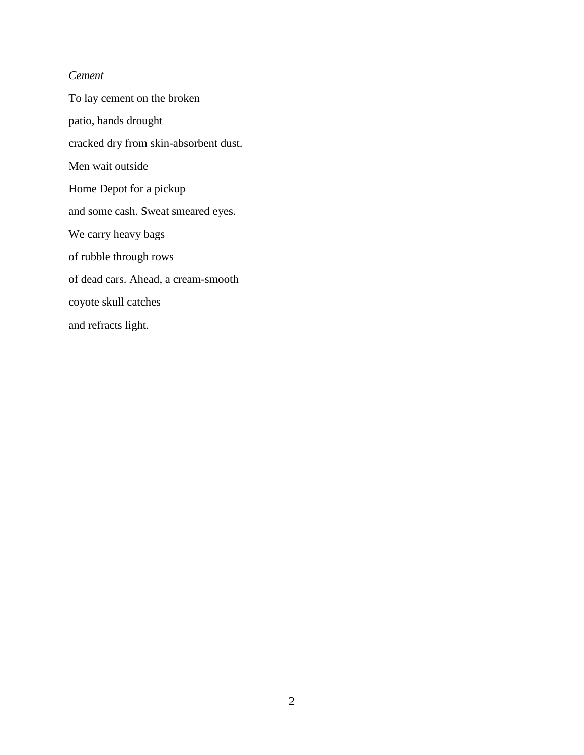# *Cement*

To lay cement on the broken patio, hands drought cracked dry from skin-absorbent dust. Men wait outside Home Depot for a pickup and some cash. Sweat smeared eyes. We carry heavy bags of rubble through rows of dead cars. Ahead, a cream-smooth coyote skull catches and refracts light.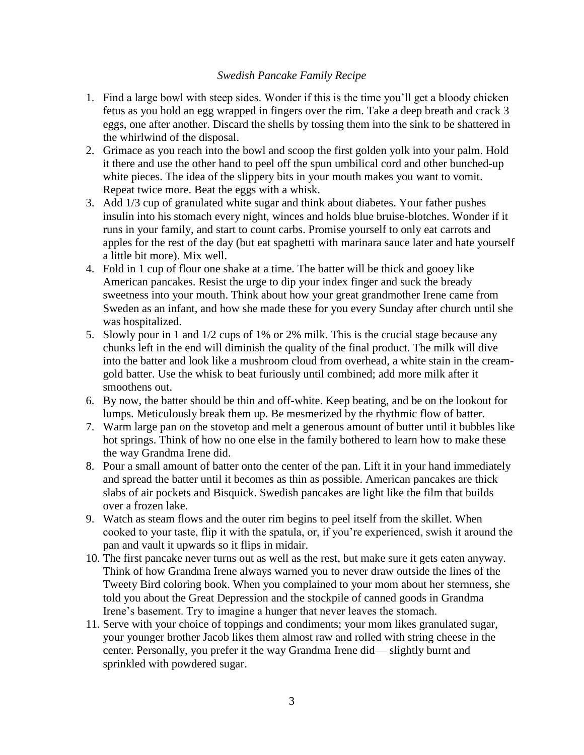### *Swedish Pancake Family Recipe*

- 1. Find a large bowl with steep sides. Wonder if this is the time you'll get a bloody chicken fetus as you hold an egg wrapped in fingers over the rim. Take a deep breath and crack 3 eggs, one after another. Discard the shells by tossing them into the sink to be shattered in the whirlwind of the disposal.
- 2. Grimace as you reach into the bowl and scoop the first golden yolk into your palm. Hold it there and use the other hand to peel off the spun umbilical cord and other bunched-up white pieces. The idea of the slippery bits in your mouth makes you want to vomit. Repeat twice more. Beat the eggs with a whisk.
- 3. Add 1/3 cup of granulated white sugar and think about diabetes. Your father pushes insulin into his stomach every night, winces and holds blue bruise-blotches. Wonder if it runs in your family, and start to count carbs. Promise yourself to only eat carrots and apples for the rest of the day (but eat spaghetti with marinara sauce later and hate yourself a little bit more). Mix well.
- 4. Fold in 1 cup of flour one shake at a time. The batter will be thick and gooey like American pancakes. Resist the urge to dip your index finger and suck the bready sweetness into your mouth. Think about how your great grandmother Irene came from Sweden as an infant, and how she made these for you every Sunday after church until she was hospitalized.
- 5. Slowly pour in 1 and 1/2 cups of 1% or 2% milk. This is the crucial stage because any chunks left in the end will diminish the quality of the final product. The milk will dive into the batter and look like a mushroom cloud from overhead, a white stain in the creamgold batter. Use the whisk to beat furiously until combined; add more milk after it smoothens out.
- 6. By now, the batter should be thin and off-white. Keep beating, and be on the lookout for lumps. Meticulously break them up. Be mesmerized by the rhythmic flow of batter.
- 7. Warm large pan on the stovetop and melt a generous amount of butter until it bubbles like hot springs. Think of how no one else in the family bothered to learn how to make these the way Grandma Irene did.
- 8. Pour a small amount of batter onto the center of the pan. Lift it in your hand immediately and spread the batter until it becomes as thin as possible. American pancakes are thick slabs of air pockets and Bisquick. Swedish pancakes are light like the film that builds over a frozen lake.
- 9. Watch as steam flows and the outer rim begins to peel itself from the skillet. When cooked to your taste, flip it with the spatula, or, if you're experienced, swish it around the pan and vault it upwards so it flips in midair.
- 10. The first pancake never turns out as well as the rest, but make sure it gets eaten anyway. Think of how Grandma Irene always warned you to never draw outside the lines of the Tweety Bird coloring book. When you complained to your mom about her sternness, she told you about the Great Depression and the stockpile of canned goods in Grandma Irene's basement. Try to imagine a hunger that never leaves the stomach.
- 11. Serve with your choice of toppings and condiments; your mom likes granulated sugar, your younger brother Jacob likes them almost raw and rolled with string cheese in the center. Personally, you prefer it the way Grandma Irene did— slightly burnt and sprinkled with powdered sugar.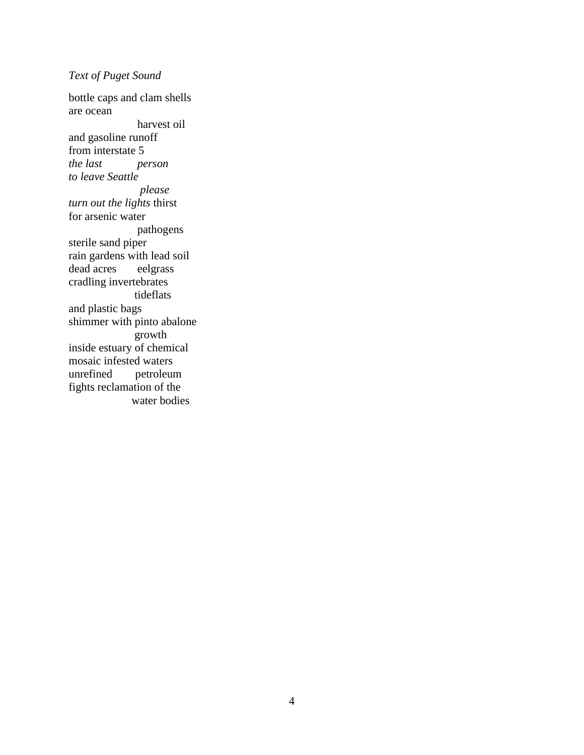# *Text of Puget Sound*

bottle caps and clam shells are ocean harvest oil and gasoline runoff from interstate 5 *the last person to leave Seattle please turn out the lights* thirst for arsenic water pathogens sterile sand piper rain gardens with lead soil dead acres eelgrass cradling invertebrates tideflats and plastic bags shimmer with pinto abalone growth inside estuary of chemical mosaic infested waters unrefined petroleum fights reclamation of the water bodies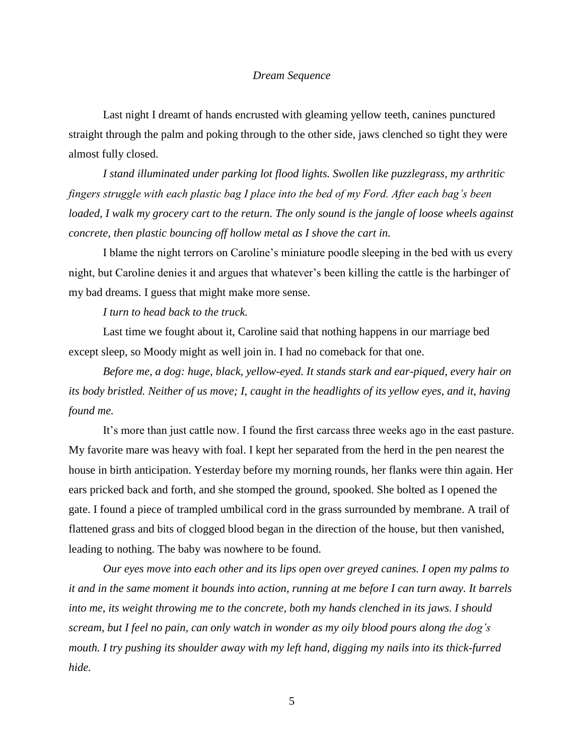#### *Dream Sequence*

Last night I dreamt of hands encrusted with gleaming yellow teeth, canines punctured straight through the palm and poking through to the other side, jaws clenched so tight they were almost fully closed.

*I stand illuminated under parking lot flood lights. Swollen like puzzlegrass, my arthritic fingers struggle with each plastic bag I place into the bed of my Ford. After each bag's been loaded, I walk my grocery cart to the return. The only sound is the jangle of loose wheels against concrete, then plastic bouncing off hollow metal as I shove the cart in.* 

I blame the night terrors on Caroline's miniature poodle sleeping in the bed with us every night, but Caroline denies it and argues that whatever's been killing the cattle is the harbinger of my bad dreams. I guess that might make more sense.

#### *I turn to head back to the truck.*

Last time we fought about it, Caroline said that nothing happens in our marriage bed except sleep, so Moody might as well join in. I had no comeback for that one.

*Before me, a dog: huge, black, yellow-eyed. It stands stark and ear-piqued, every hair on its body bristled. Neither of us move; I, caught in the headlights of its yellow eyes, and it, having found me.*

It's more than just cattle now. I found the first carcass three weeks ago in the east pasture. My favorite mare was heavy with foal. I kept her separated from the herd in the pen nearest the house in birth anticipation. Yesterday before my morning rounds, her flanks were thin again. Her ears pricked back and forth, and she stomped the ground, spooked. She bolted as I opened the gate. I found a piece of trampled umbilical cord in the grass surrounded by membrane. A trail of flattened grass and bits of clogged blood began in the direction of the house, but then vanished, leading to nothing. The baby was nowhere to be found.

*Our eyes move into each other and its lips open over greyed canines. I open my palms to it and in the same moment it bounds into action, running at me before I can turn away. It barrels into me, its weight throwing me to the concrete, both my hands clenched in its jaws. I should scream, but I feel no pain, can only watch in wonder as my oily blood pours along the dog's mouth. I try pushing its shoulder away with my left hand, digging my nails into its thick-furred hide.*

5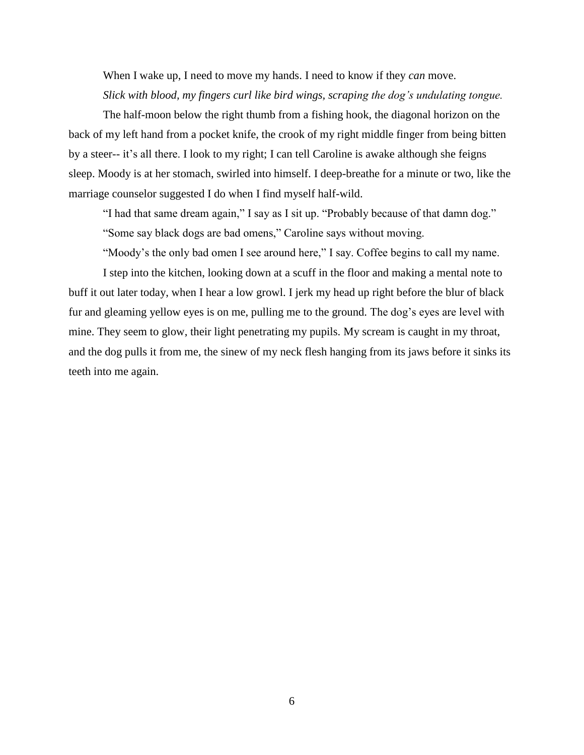When I wake up, I need to move my hands. I need to know if they *can* move. *Slick with blood, my fingers curl like bird wings, scraping the dog's undulating tongue.*

The half-moon below the right thumb from a fishing hook, the diagonal horizon on the back of my left hand from a pocket knife, the crook of my right middle finger from being bitten by a steer-- it's all there. I look to my right; I can tell Caroline is awake although she feigns sleep. Moody is at her stomach, swirled into himself. I deep-breathe for a minute or two, like the marriage counselor suggested I do when I find myself half-wild.

"I had that same dream again," I say as I sit up. "Probably because of that damn dog."

"Some say black dogs are bad omens," Caroline says without moving.

"Moody's the only bad omen I see around here," I say. Coffee begins to call my name.

I step into the kitchen, looking down at a scuff in the floor and making a mental note to buff it out later today, when I hear a low growl. I jerk my head up right before the blur of black fur and gleaming yellow eyes is on me, pulling me to the ground. The dog's eyes are level with mine. They seem to glow, their light penetrating my pupils. My scream is caught in my throat, and the dog pulls it from me, the sinew of my neck flesh hanging from its jaws before it sinks its teeth into me again.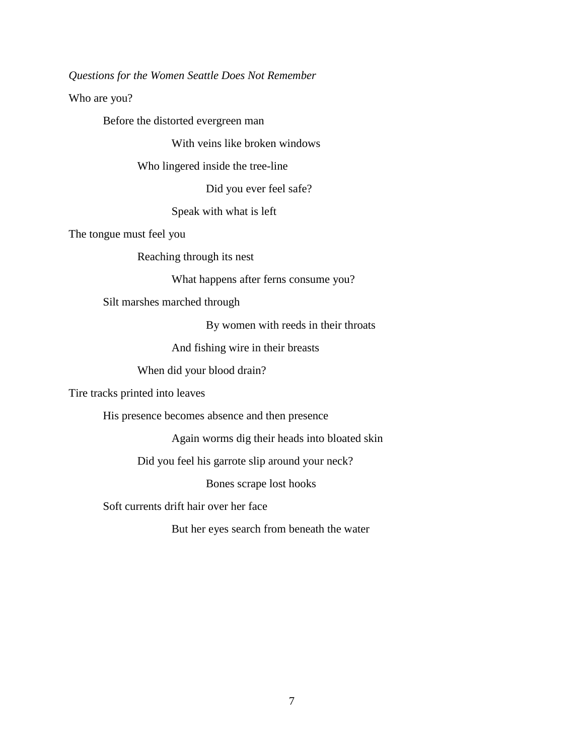*Questions for the Women Seattle Does Not Remember*

Who are you?

Before the distorted evergreen man

With veins like broken windows

Who lingered inside the tree-line

Did you ever feel safe?

Speak with what is left

The tongue must feel you

Reaching through its nest

What happens after ferns consume you?

Silt marshes marched through

By women with reeds in their throats

And fishing wire in their breasts

When did your blood drain?

Tire tracks printed into leaves

His presence becomes absence and then presence

Again worms dig their heads into bloated skin

Did you feel his garrote slip around your neck?

Bones scrape lost hooks

Soft currents drift hair over her face

But her eyes search from beneath the water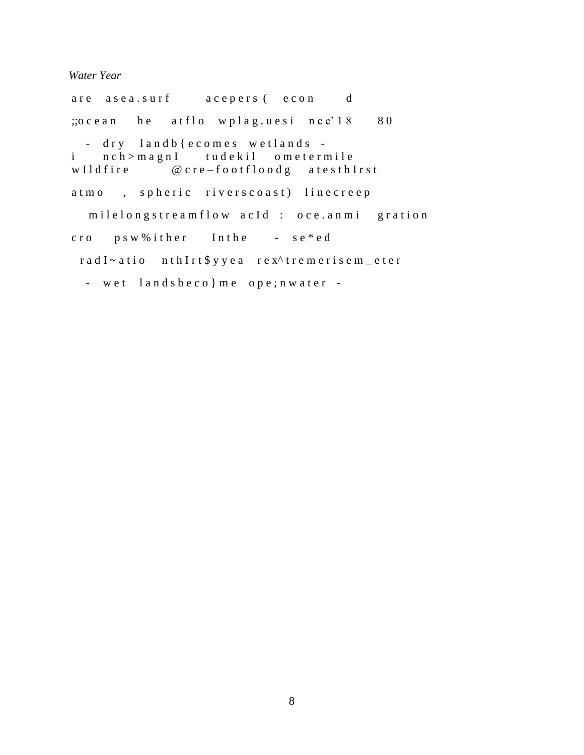*Water Year*

are a sea.surf a cepers (econ d ;; o c e a n h e at f l o w p l a g . u e s i n c e'  $18$  80 - dry land b { e c o m e s w e t l a n d s i n c h > m a g n I tud e k i l o m e t e r m i l e w I l d f i r e  $@$  c r e – f o o t f l o o d g a t e s t h I r s t atmo, spheric riverscoast) linecreep milelongstreamflow acId : oce.anmi gration cro p s w % i ther In the - se\*ed r a d I ~ a t i o n t h I r t \$ y y e a r e x ^ t r e m e r i s e m \_ e t e r - wet  $lands$  beco } me ope; nwater -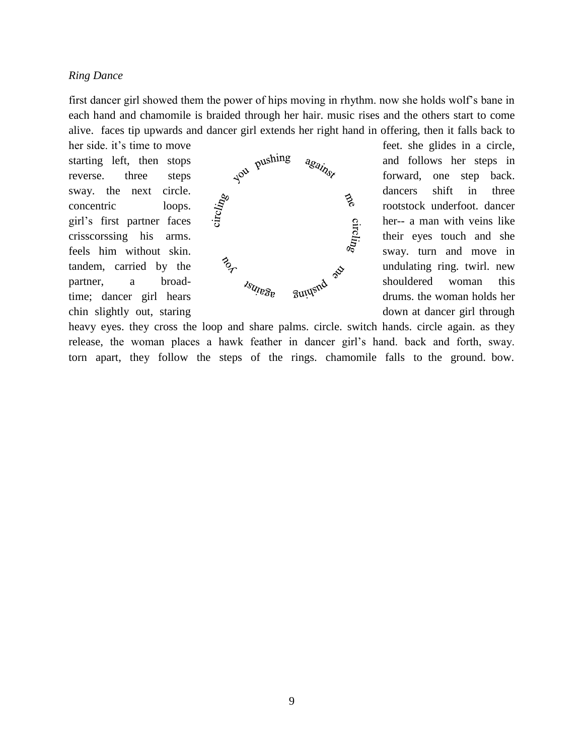#### *Ring Dance*

first dancer girl showed them the power of hips moving in rhythm. now she holds wolf's bane in each hand and chamomile is braided through her hair. music rises and the others start to come alive. faces tip upwards and dancer girl extends her right hand in offering, then it falls back to



heavy eyes. they cross the loop and share palms. circle. switch hands. circle again. as they release, the woman places a hawk feather in dancer girl's hand. back and forth, sway. torn apart, they follow the steps of the rings. chamomile falls to the ground. bow.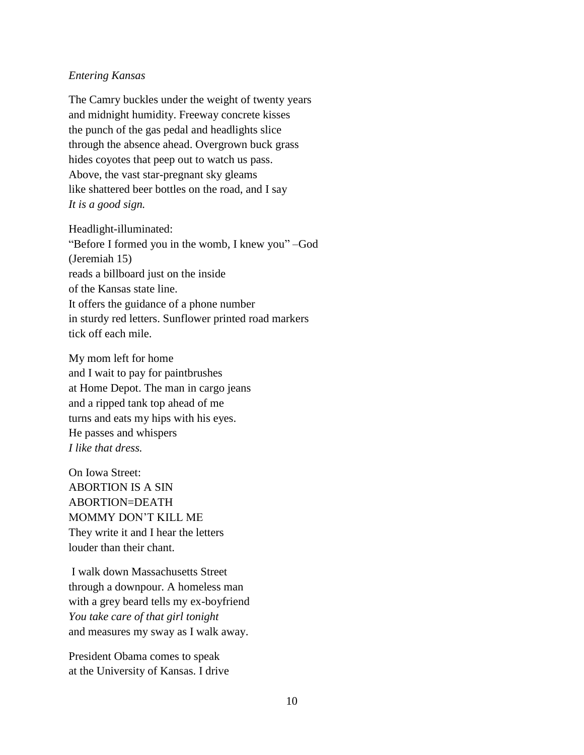#### *Entering Kansas*

The Camry buckles under the weight of twenty years and midnight humidity. Freeway concrete kisses the punch of the gas pedal and headlights slice through the absence ahead. Overgrown buck grass hides coyotes that peep out to watch us pass. Above, the vast star-pregnant sky gleams like shattered beer bottles on the road, and I say *It is a good sign.*

Headlight-illuminated:

"Before I formed you in the womb, I knew you" –God (Jeremiah 15) reads a billboard just on the inside of the Kansas state line. It offers the guidance of a phone number in sturdy red letters. Sunflower printed road markers tick off each mile.

My mom left for home and I wait to pay for paintbrushes at Home Depot. The man in cargo jeans and a ripped tank top ahead of me turns and eats my hips with his eyes. He passes and whispers *I like that dress.*

On Iowa Street: ABORTION IS A SIN ABORTION=DEATH MOMMY DON'T KILL ME They write it and I hear the letters louder than their chant.

I walk down Massachusetts Street through a downpour. A homeless man with a grey beard tells my ex-boyfriend *You take care of that girl tonight* and measures my sway as I walk away.

President Obama comes to speak at the University of Kansas. I drive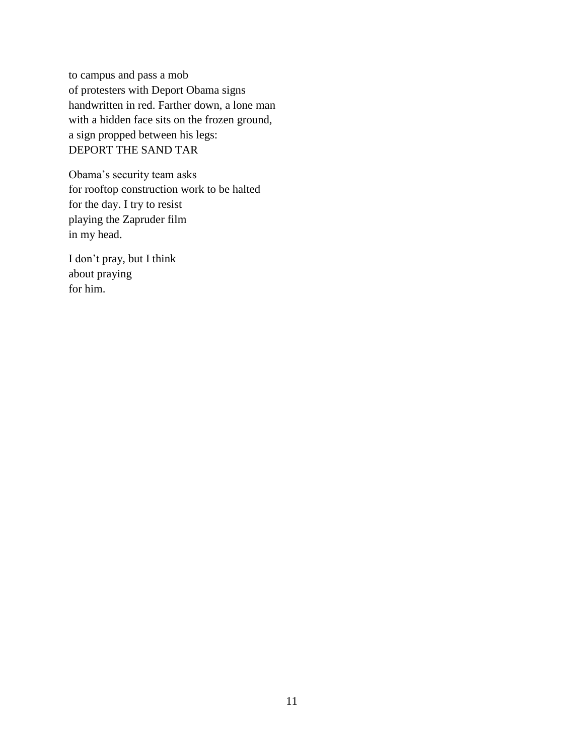to campus and pass a mob of protesters with Deport Obama signs handwritten in red. Farther down, a lone man with a hidden face sits on the frozen ground, a sign propped between his legs: DEPORT THE SAND TAR

Obama's security team asks for rooftop construction work to be halted for the day. I try to resist playing the Zapruder film in my head.

I don't pray, but I think about praying for him.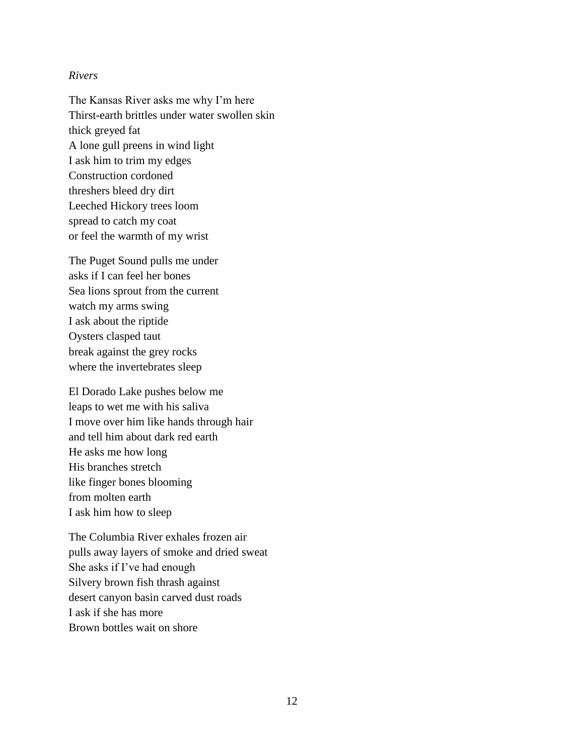#### *Rivers*

The Kansas River asks me why I'm here Thirst-earth brittles under water swollen skin thick greyed fat A lone gull preens in wind light I ask him to trim my edges Construction cordoned threshers bleed dry dirt Leeched Hickory trees loom spread to catch my coat or feel the warmth of my wrist

The Puget Sound pulls me under asks if I can feel her bones Sea lions sprout from the current watch my arms swing I ask about the riptide Oysters clasped taut break against the grey rocks where the invertebrates sleep

El Dorado Lake pushes below me leaps to wet me with his saliva I move over him like hands through hair and tell him about dark red earth He asks me how long His branches stretch like finger bones blooming from molten earth I ask him how to sleep

The Columbia River exhales frozen air pulls away layers of smoke and dried sweat She asks if I've had enough Silvery brown fish thrash against desert canyon basin carved dust roads I ask if she has more Brown bottles wait on shore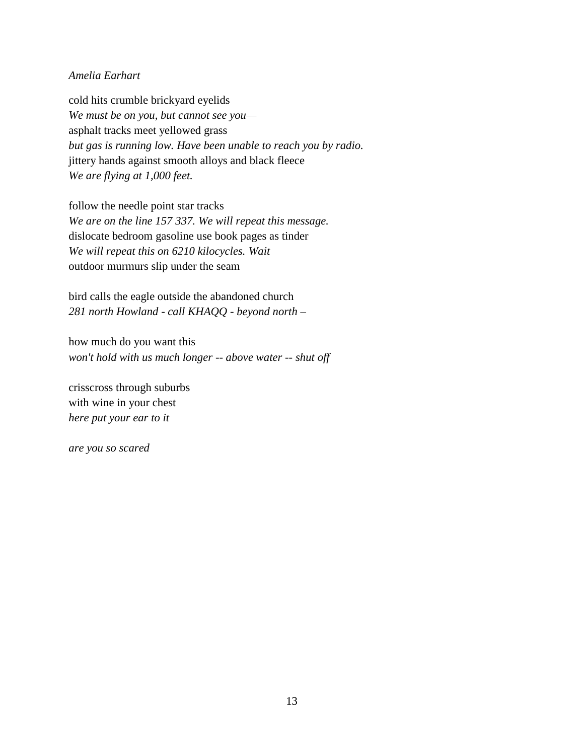#### *Amelia Earhart*

cold hits crumble brickyard eyelids *We must be on you, but cannot see you* asphalt tracks meet yellowed grass *but gas is running low. Have been unable to reach you by radio.*  jittery hands against smooth alloys and black fleece *We are flying at 1,000 feet.*

follow the needle point star tracks *We are on the line 157 337. We will repeat this message.*  dislocate bedroom gasoline use book pages as tinder *We will repeat this on 6210 kilocycles. Wait* outdoor murmurs slip under the seam

bird calls the eagle outside the abandoned church *281 north Howland - call KHAQQ - beyond north –*

how much do you want this *won't hold with us much longer -- above water -- shut off*

crisscross through suburbs with wine in your chest *here put your ear to it*

*are you so scared*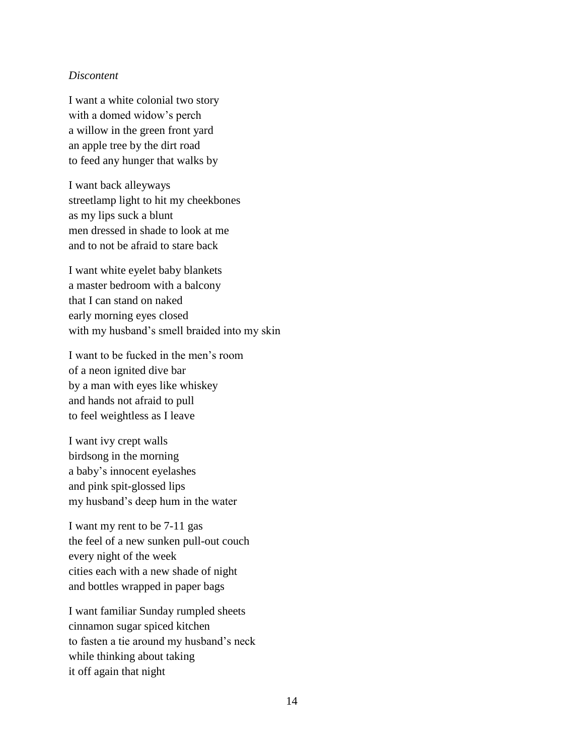#### *Discontent*

I want a white colonial two story with a domed widow's perch a willow in the green front yard an apple tree by the dirt road to feed any hunger that walks by

I want back alleyways streetlamp light to hit my cheekbones as my lips suck a blunt men dressed in shade to look at me and to not be afraid to stare back

I want white eyelet baby blankets a master bedroom with a balcony that I can stand on naked early morning eyes closed with my husband's smell braided into my skin

I want to be fucked in the men's room of a neon ignited dive bar by a man with eyes like whiskey and hands not afraid to pull to feel weightless as I leave

I want ivy crept walls birdsong in the morning a baby's innocent eyelashes and pink spit-glossed lips my husband's deep hum in the water

I want my rent to be 7-11 gas the feel of a new sunken pull-out couch every night of the week cities each with a new shade of night and bottles wrapped in paper bags

I want familiar Sunday rumpled sheets cinnamon sugar spiced kitchen to fasten a tie around my husband's neck while thinking about taking it off again that night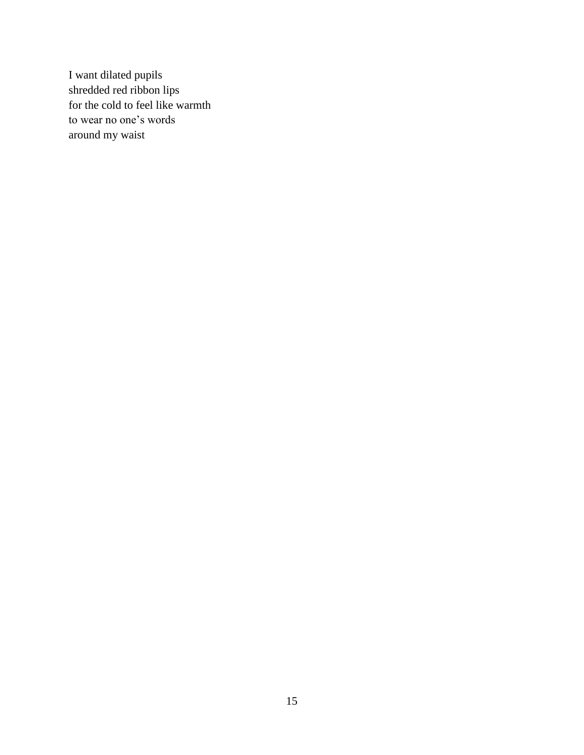I want dilated pupils shredded red ribbon lips for the cold to feel like warmth to wear no one's words around my waist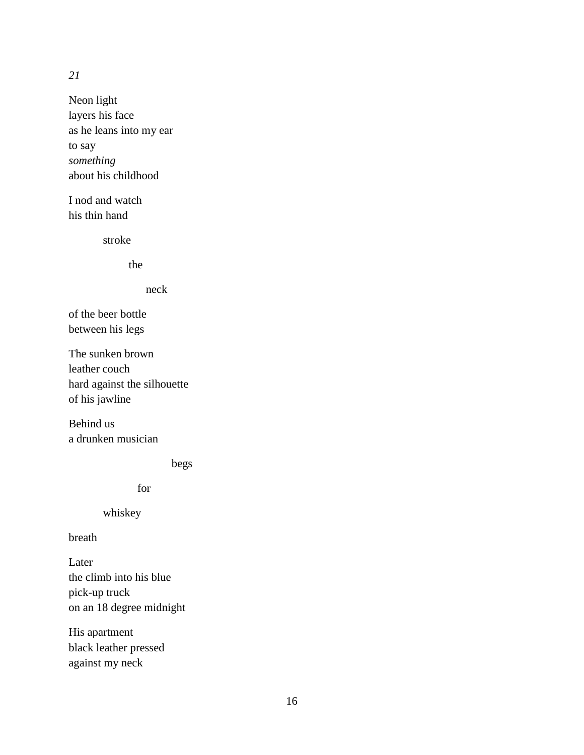*21*

Neon light layers his face as he leans into my ear to say *something*  about his childhood

I nod and watch his thin hand

stroke

the

neck

of the beer bottle between his legs

The sunken brown leather couch hard against the silhouette of his jawline

Behind us a drunken musician

begs

for

whiskey

breath

Later the climb into his blue pick-up truck on an 18 degree midnight

His apartment black leather pressed against my neck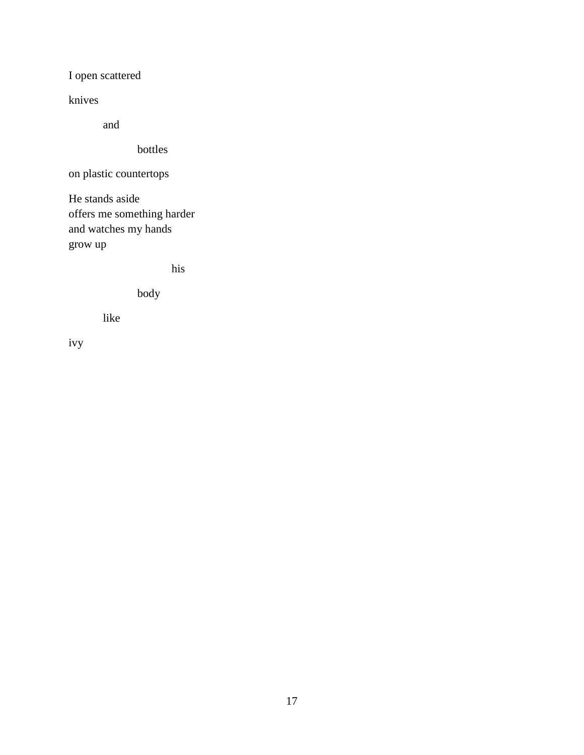I open scattered

knives

and

bottles

on plastic countertops

He stands aside offers me something harder and watches my hands grow up

his

body

like

ivy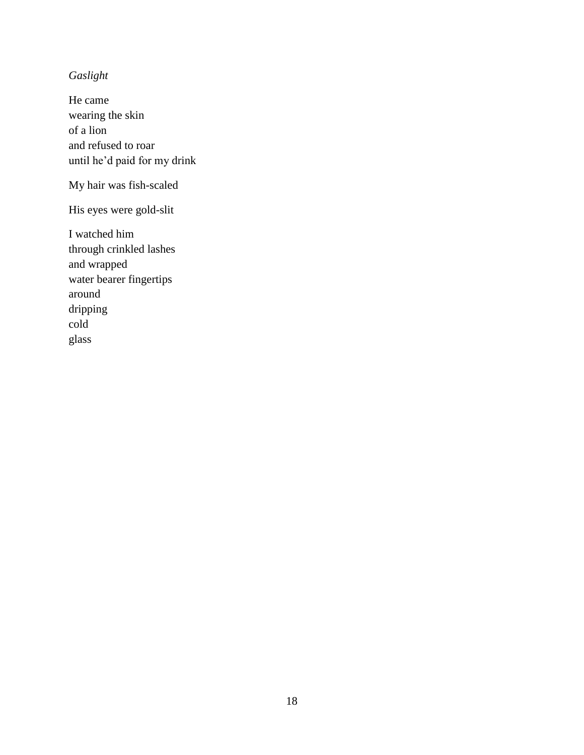# *Gaslight*

He came wearing the skin of a lion and refused to roar until he'd paid for my drink

My hair was fish-scaled

His eyes were gold-slit

I watched him through crinkled lashes and wrapped water bearer fingertips around dripping cold glass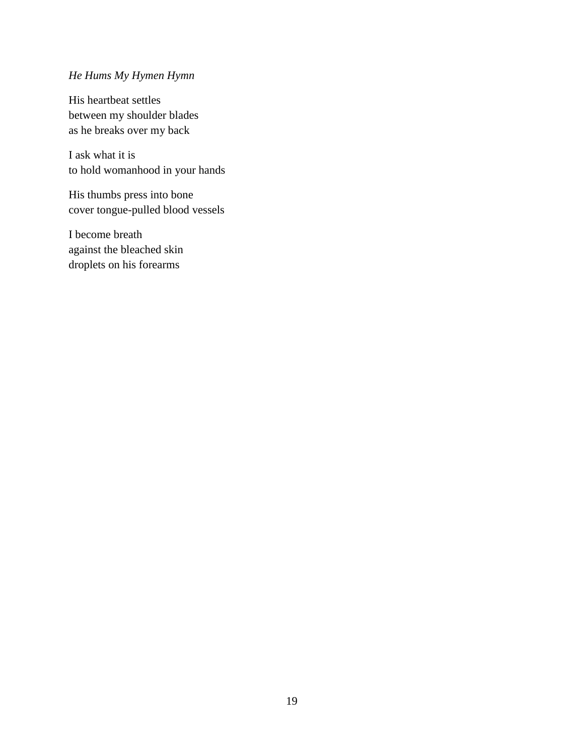# *He Hums My Hymen Hymn*

His heartbeat settles between my shoulder blades as he breaks over my back

I ask what it is to hold womanhood in your hands

His thumbs press into bone cover tongue-pulled blood vessels

I become breath against the bleached skin droplets on his forearms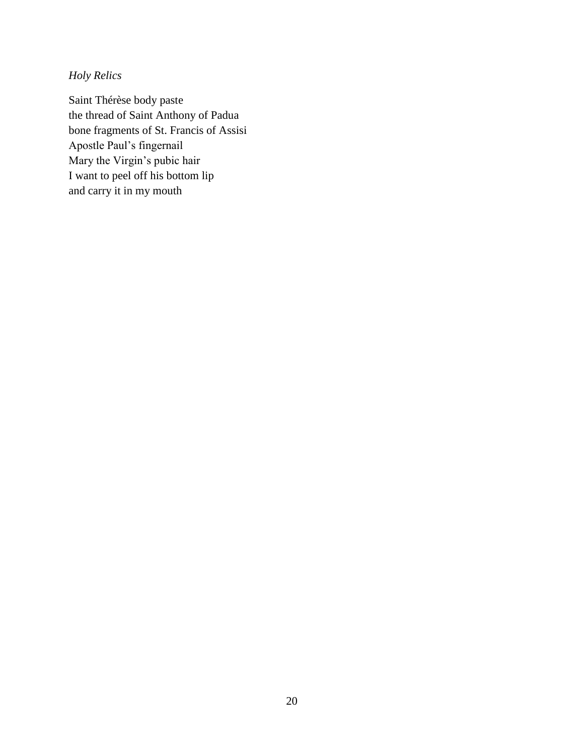*Holy Relics* 

Saint Thérèse body paste the thread of Saint Anthony of Padua bone fragments of St. Francis of Assisi Apostle Paul's fingernail Mary the Virgin's pubic hair I want to peel off his bottom lip and carry it in my mouth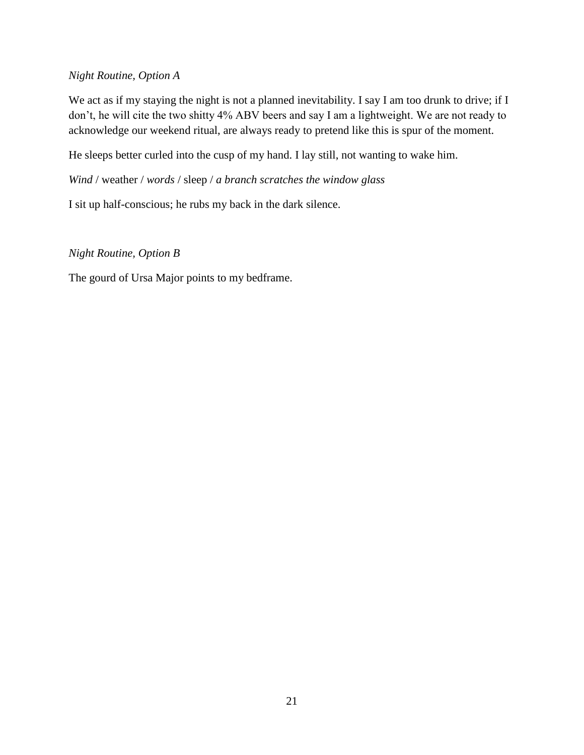# *Night Routine, Option A*

We act as if my staying the night is not a planned inevitability. I say I am too drunk to drive; if I don't, he will cite the two shitty 4% ABV beers and say I am a lightweight. We are not ready to acknowledge our weekend ritual, are always ready to pretend like this is spur of the moment.

He sleeps better curled into the cusp of my hand. I lay still, not wanting to wake him.

*Wind* / weather / *words* / sleep / *a branch scratches the window glass* 

I sit up half-conscious; he rubs my back in the dark silence.

# *Night Routine, Option B*

The gourd of Ursa Major points to my bedframe.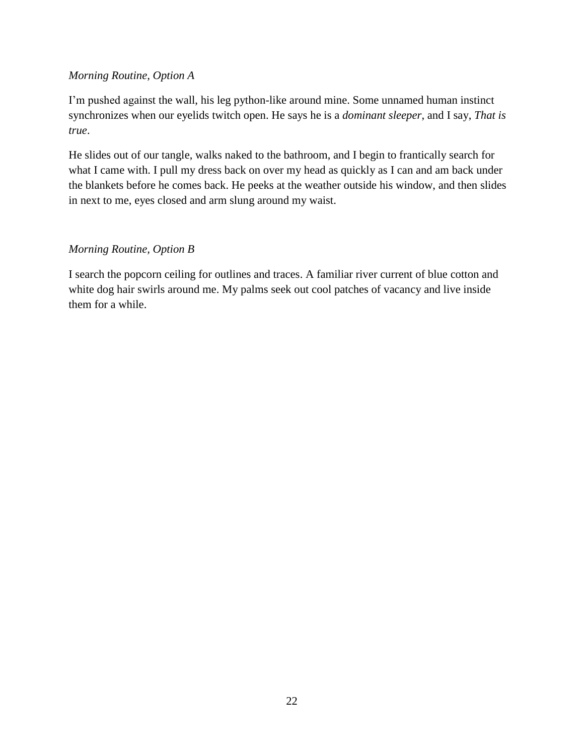# *Morning Routine, Option A*

I'm pushed against the wall, his leg python-like around mine. Some unnamed human instinct synchronizes when our eyelids twitch open. He says he is a *dominant sleeper*, and I say, *That is true*.

He slides out of our tangle, walks naked to the bathroom, and I begin to frantically search for what I came with. I pull my dress back on over my head as quickly as I can and am back under the blankets before he comes back. He peeks at the weather outside his window, and then slides in next to me, eyes closed and arm slung around my waist.

# *Morning Routine, Option B*

I search the popcorn ceiling for outlines and traces. A familiar river current of blue cotton and white dog hair swirls around me. My palms seek out cool patches of vacancy and live inside them for a while.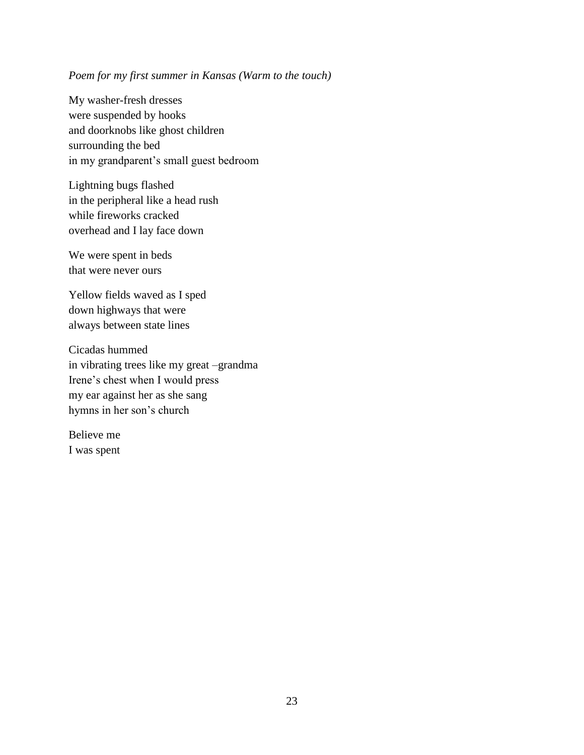# *Poem for my first summer in Kansas (Warm to the touch)*

My washer-fresh dresses were suspended by hooks and doorknobs like ghost children surrounding the bed in my grandparent's small guest bedroom

Lightning bugs flashed in the peripheral like a head rush while fireworks cracked overhead and I lay face down

We were spent in beds that were never ours

Yellow fields waved as I sped down highways that were always between state lines

Cicadas hummed in vibrating trees like my great –grandma Irene's chest when I would press my ear against her as she sang hymns in her son's church

Believe me I was spent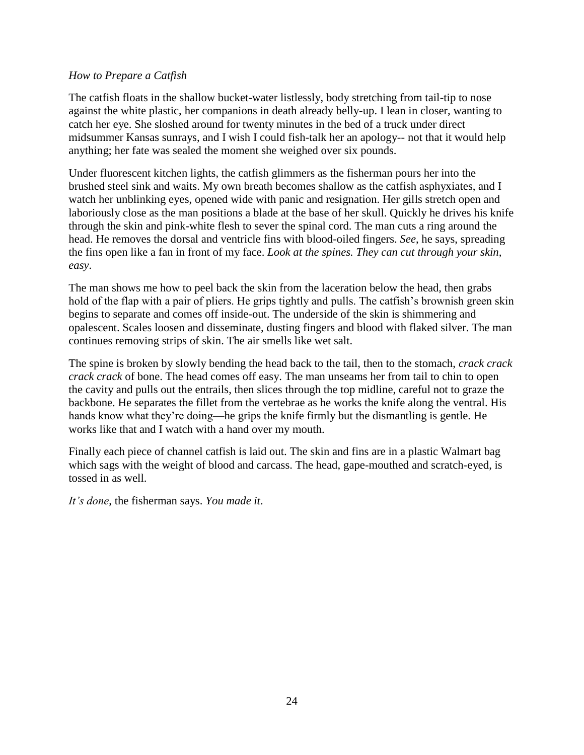## *How to Prepare a Catfish*

The catfish floats in the shallow bucket-water listlessly, body stretching from tail-tip to nose against the white plastic, her companions in death already belly-up. I lean in closer, wanting to catch her eye. She sloshed around for twenty minutes in the bed of a truck under direct midsummer Kansas sunrays, and I wish I could fish-talk her an apology-- not that it would help anything; her fate was sealed the moment she weighed over six pounds.

Under fluorescent kitchen lights, the catfish glimmers as the fisherman pours her into the brushed steel sink and waits. My own breath becomes shallow as the catfish asphyxiates, and I watch her unblinking eyes, opened wide with panic and resignation. Her gills stretch open and laboriously close as the man positions a blade at the base of her skull. Quickly he drives his knife through the skin and pink-white flesh to sever the spinal cord. The man cuts a ring around the head. He removes the dorsal and ventricle fins with blood-oiled fingers. *See*, he says, spreading the fins open like a fan in front of my face. *Look at the spines. They can cut through your skin, easy*.

The man shows me how to peel back the skin from the laceration below the head, then grabs hold of the flap with a pair of pliers. He grips tightly and pulls. The catfish's brownish green skin begins to separate and comes off inside-out. The underside of the skin is shimmering and opalescent. Scales loosen and disseminate, dusting fingers and blood with flaked silver. The man continues removing strips of skin. The air smells like wet salt.

The spine is broken by slowly bending the head back to the tail, then to the stomach, *crack crack crack crack* of bone. The head comes off easy. The man unseams her from tail to chin to open the cavity and pulls out the entrails, then slices through the top midline, careful not to graze the backbone. He separates the fillet from the vertebrae as he works the knife along the ventral. His hands know what they're doing—he grips the knife firmly but the dismantling is gentle. He works like that and I watch with a hand over my mouth.

Finally each piece of channel catfish is laid out. The skin and fins are in a plastic Walmart bag which sags with the weight of blood and carcass. The head, gape-mouthed and scratch-eyed, is tossed in as well.

*It's done*, the fisherman says. *You made it*.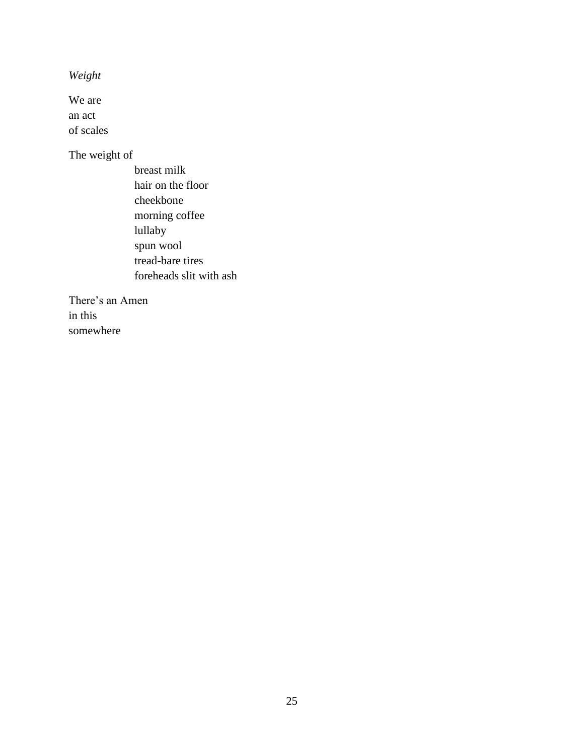*Weight* 

We are an act of scales

The weight of

 breast milk hair on the floor cheekbone morning coffee lullaby spun wool tread-bare tires foreheads slit with ash

There's an Amen in this somewhere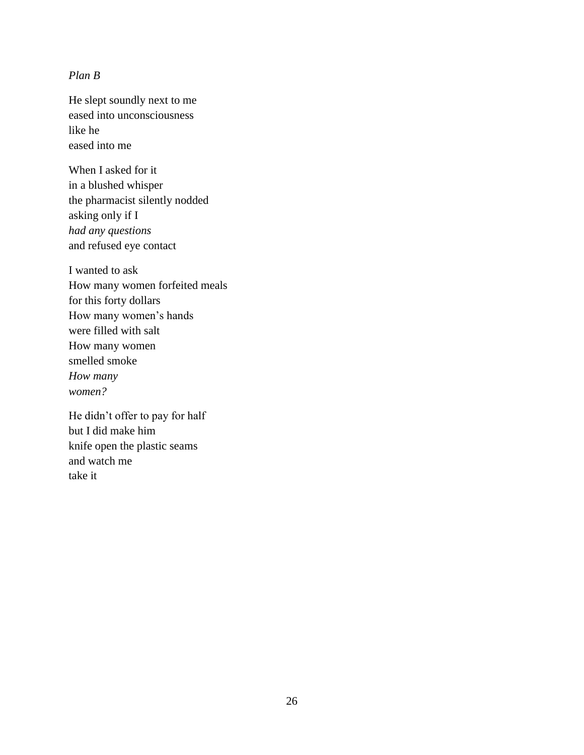## *Plan B*

He slept soundly next to me eased into unconsciousness like he eased into me

When I asked for it in a blushed whisper the pharmacist silently nodded asking only if I *had any questions* and refused eye contact

I wanted to ask How many women forfeited meals for this forty dollars How many women's hands were filled with salt How many women smelled smoke *How many women?* 

He didn't offer to pay for half but I did make him knife open the plastic seams and watch me take it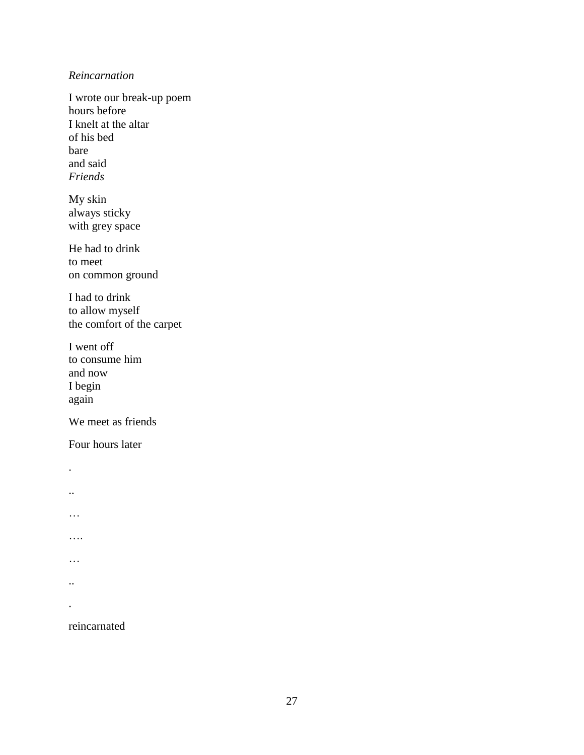#### *Reincarnation*

I wrote our break-up poem hours before I knelt at the altar of his bed bare and said *Friends*

My skin always sticky with grey space

He had to drink to meet on common ground

I had to drink to allow myself the comfort of the carpet

I went off to consume him and now I begin again

We meet as friends

Four hours later

. .. … …. … .. .

reincarnated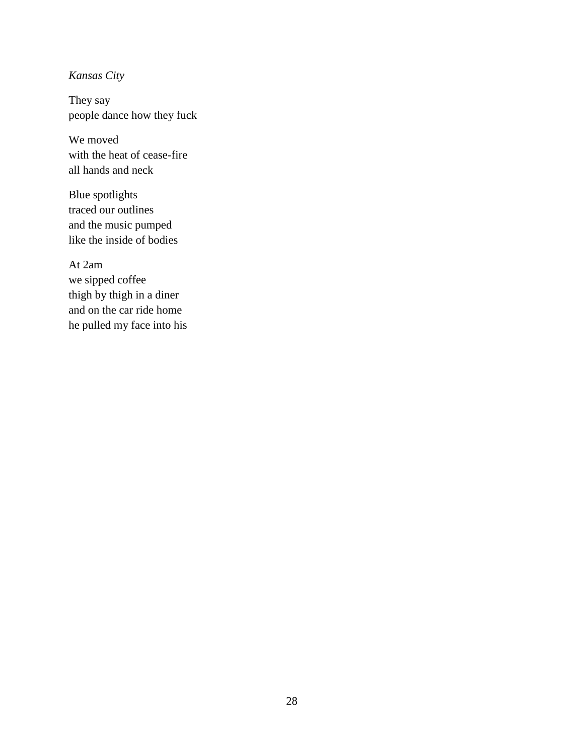# *Kansas City*

They say people dance how they fuck

We moved with the heat of cease-fire all hands and neck

Blue spotlights traced our outlines and the music pumped like the inside of bodies

At 2am we sipped coffee thigh by thigh in a diner and on the car ride home he pulled my face into his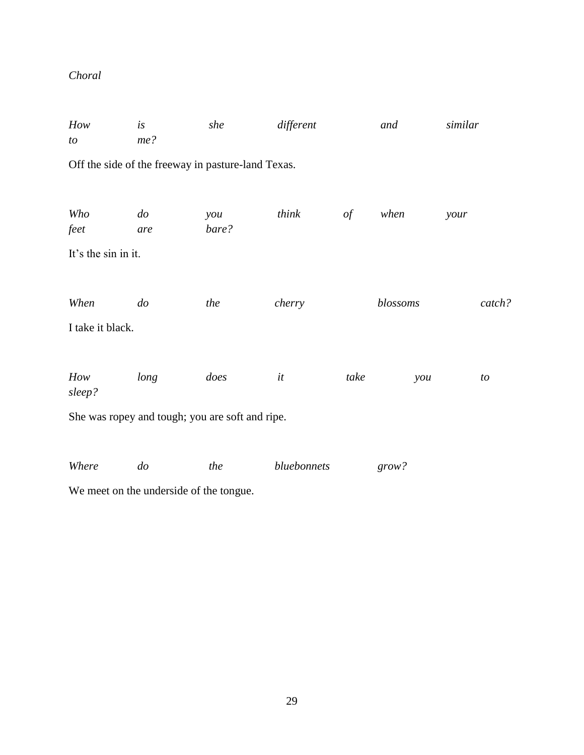# *Choral*

| How<br>to                | is<br>me?                                          | she          | different   |               | and      | similar |
|--------------------------|----------------------------------------------------|--------------|-------------|---------------|----------|---------|
|                          | Off the side of the freeway in pasture-land Texas. |              |             |               |          |         |
| Who<br>feet              | $d$ o<br>are                                       | you<br>bare? | think       | $\mathit{of}$ | when     | your    |
| It's the sin in it.      |                                                    |              |             |               |          |         |
| When<br>I take it black. | $d\sigma$                                          | the          | cherry      |               | blossoms | catch?  |
| How<br>sleep?            | long                                               | does         | it          | take          | you      | to      |
|                          | She was ropey and tough; you are soft and ripe.    |              |             |               |          |         |
| Where                    | $d\sigma$                                          | the          | bluebonnets |               | grow?    |         |

We meet on the underside of the tongue.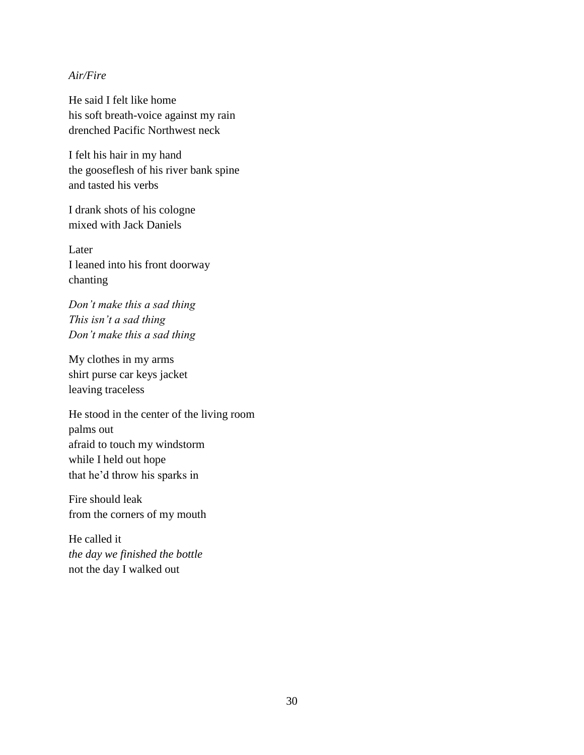#### *Air/Fire*

He said I felt like home his soft breath-voice against my rain drenched Pacific Northwest neck

I felt his hair in my hand the gooseflesh of his river bank spine and tasted his verbs

I drank shots of his cologne mixed with Jack Daniels

Later I leaned into his front doorway chanting

*Don't make this a sad thing This isn't a sad thing Don't make this a sad thing*

My clothes in my arms shirt purse car keys jacket leaving traceless

He stood in the center of the living room palms out afraid to touch my windstorm while I held out hope that he'd throw his sparks in

Fire should leak from the corners of my mouth

He called it *the day we finished the bottle* not the day I walked out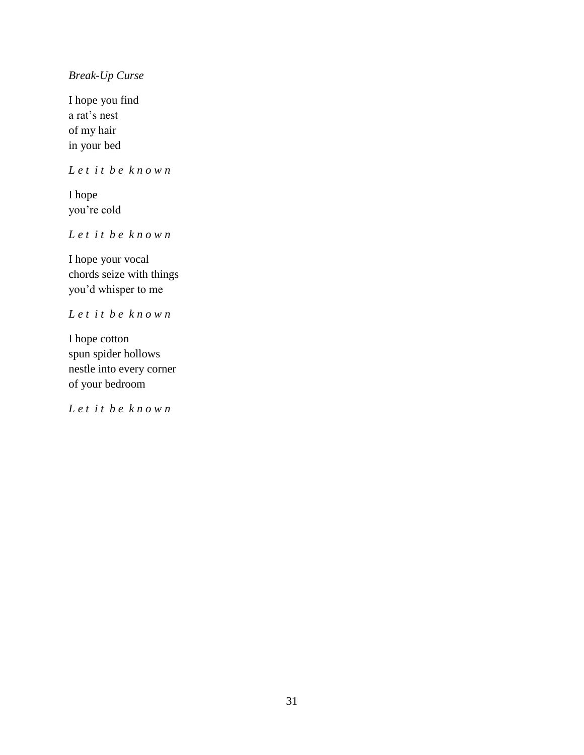# *Break-Up Curse*

I hope you find a rat's nest of my hair in your bed

*L e t i t b e k n o w n*

I hope you're cold

*L e t i t b e k n o w n*

I hope your vocal chords seize with things you'd whisper to me

*L e t i t b e k n o w n*

I hope cotton spun spider hollows nestle into every corner of your bedroom

*L e t i t b e k n o w n*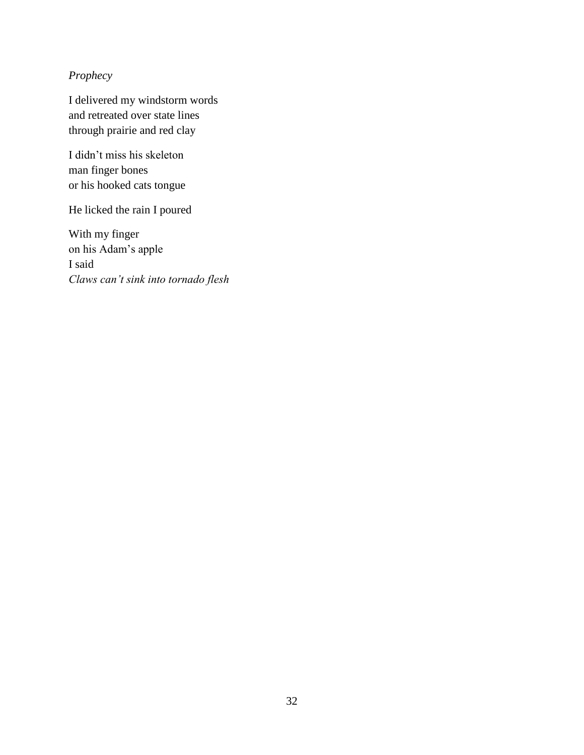# *Prophecy*

I delivered my windstorm words and retreated over state lines through prairie and red clay

I didn't miss his skeleton man finger bones or his hooked cats tongue

He licked the rain I poured

With my finger on his Adam's apple I said *Claws can't sink into tornado flesh*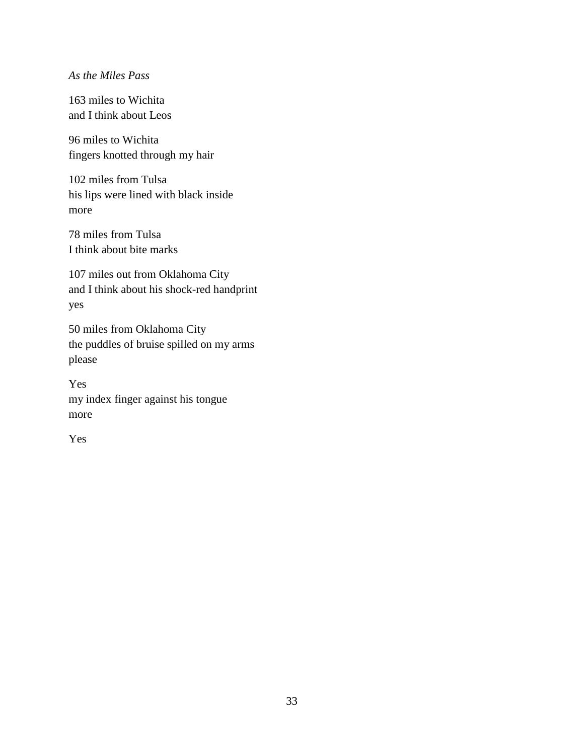### *As the Miles Pass*

163 miles to Wichita and I think about Leos

96 miles to Wichita fingers knotted through my hair

102 miles from Tulsa his lips were lined with black inside more

78 miles from Tulsa I think about bite marks

107 miles out from Oklahoma City and I think about his shock-red handprint yes

50 miles from Oklahoma City the puddles of bruise spilled on my arms please

Yes my index finger against his tongue more

Yes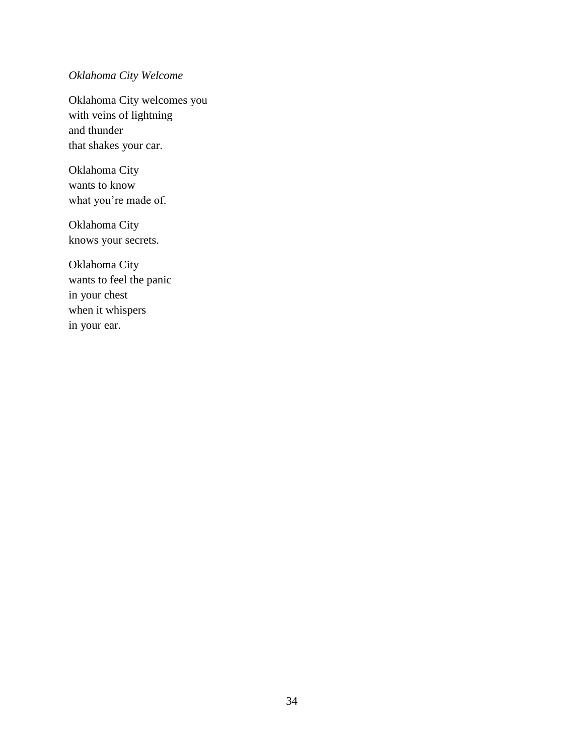# *Oklahoma City Welcome*

Oklahoma City welcomes you with veins of lightning and thunder that shakes your car.

Oklahoma City wants to know what you're made of.

Oklahoma City knows your secrets.

Oklahoma City wants to feel the panic in your chest when it whispers in your ear.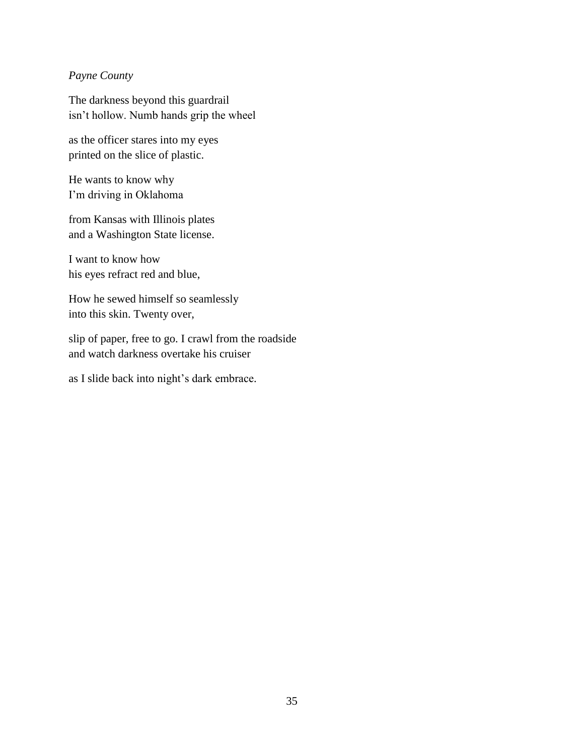# *Payne County*

The darkness beyond this guardrail isn't hollow. Numb hands grip the wheel

as the officer stares into my eyes printed on the slice of plastic.

He wants to know why I'm driving in Oklahoma

from Kansas with Illinois plates and a Washington State license.

I want to know how his eyes refract red and blue,

How he sewed himself so seamlessly into this skin. Twenty over,

slip of paper, free to go. I crawl from the roadside and watch darkness overtake his cruiser

as I slide back into night's dark embrace.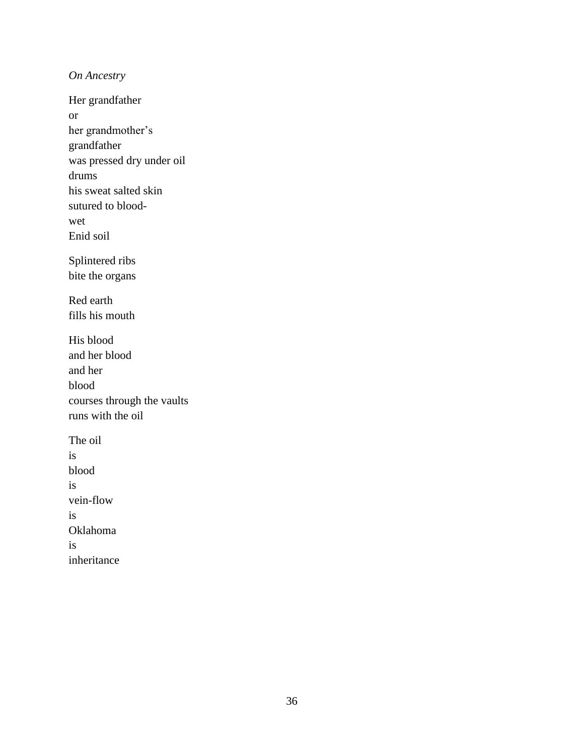*On Ancestry* 

Her grandfather or her grandmother's grandfather was pressed dry under oil drums his sweat salted skin sutured to bloodwet Enid soil Splintered ribs bite the organs Red earth fills his mouth His blood and her blood and her blood courses through the vaults runs with the oil The oil is blood is vein-flow is Oklahoma is inheritance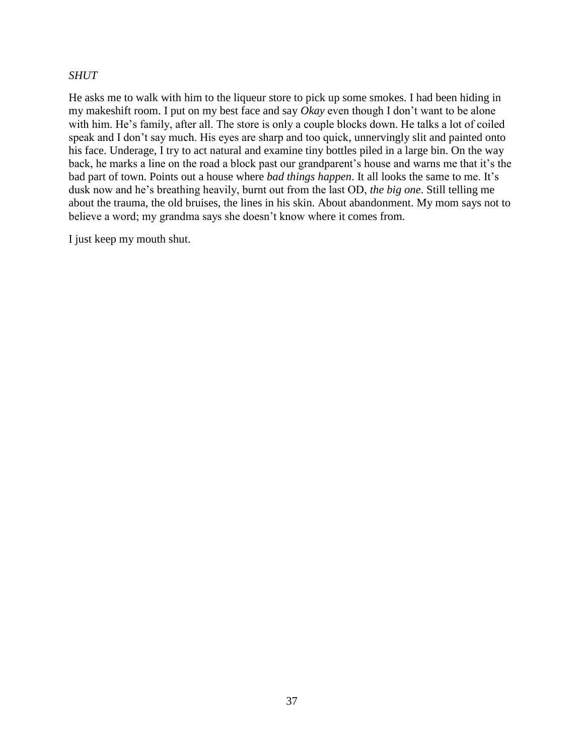#### *SHUT*

He asks me to walk with him to the liqueur store to pick up some smokes. I had been hiding in my makeshift room. I put on my best face and say *Okay* even though I don't want to be alone with him. He's family, after all. The store is only a couple blocks down. He talks a lot of coiled speak and I don't say much. His eyes are sharp and too quick, unnervingly slit and painted onto his face. Underage, I try to act natural and examine tiny bottles piled in a large bin. On the way back, he marks a line on the road a block past our grandparent's house and warns me that it's the bad part of town. Points out a house where *bad things happen*. It all looks the same to me. It's dusk now and he's breathing heavily, burnt out from the last OD, *the big one*. Still telling me about the trauma, the old bruises, the lines in his skin. About abandonment. My mom says not to believe a word; my grandma says she doesn't know where it comes from.

I just keep my mouth shut.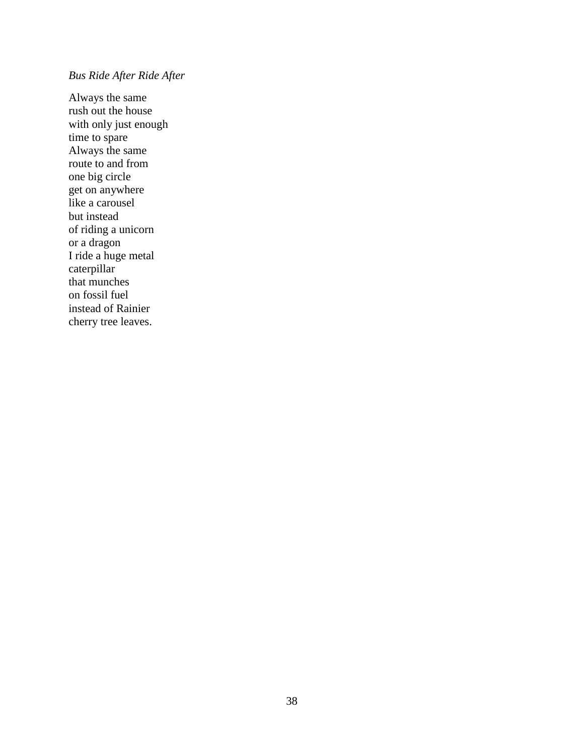# *Bus Ride After Ride After*

Always the same rush out the house with only just enough time to spare Always the same route to and from one big circle get on anywhere like a carousel but instead of riding a unicorn or a dragon I ride a huge metal caterpillar that munches on fossil fuel instead of Rainier cherry tree leaves.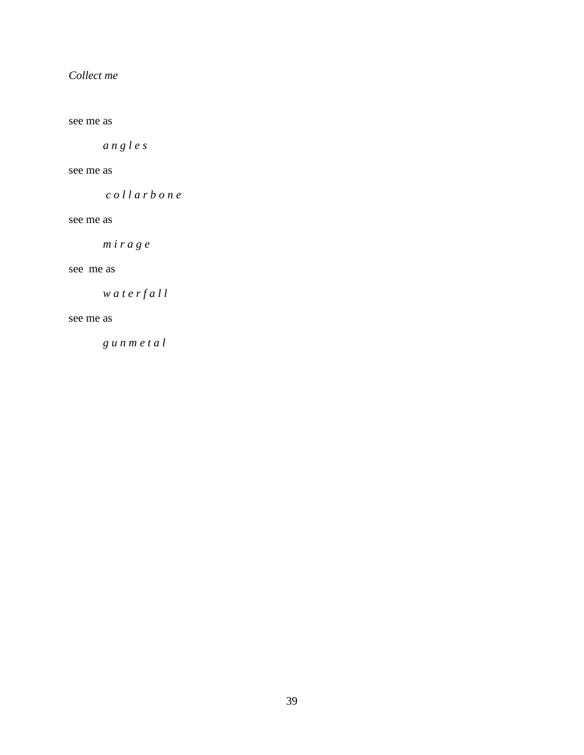# *Collect me*

see me as

*a n g l e s* 

#### see me as

*c o l l a r b o n e* 

see me as

*m i r a g e* 

#### see me as

*w a t e r f a l l* 

#### see me as

*g u n m e t a l*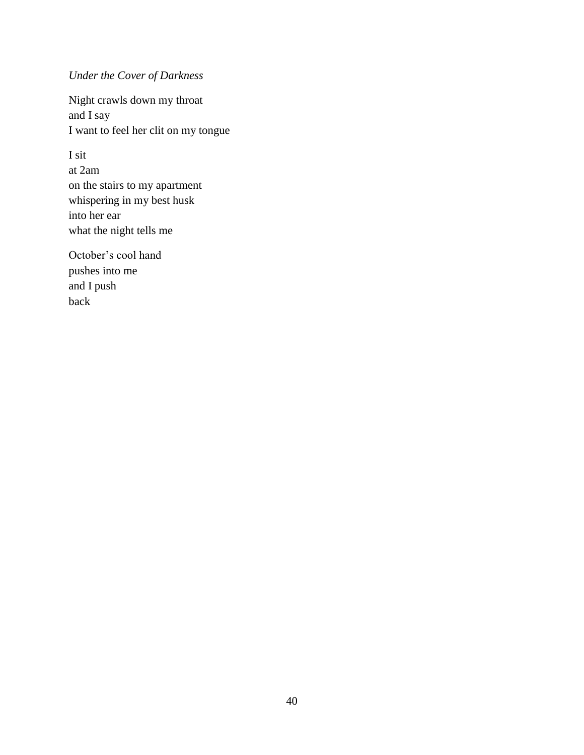# *Under the Cover of Darkness*

Night crawls down my throat and I say I want to feel her clit on my tongue

I sit at 2am on the stairs to my apartment whispering in my best husk into her ear what the night tells me

October's cool hand pushes into me and I push back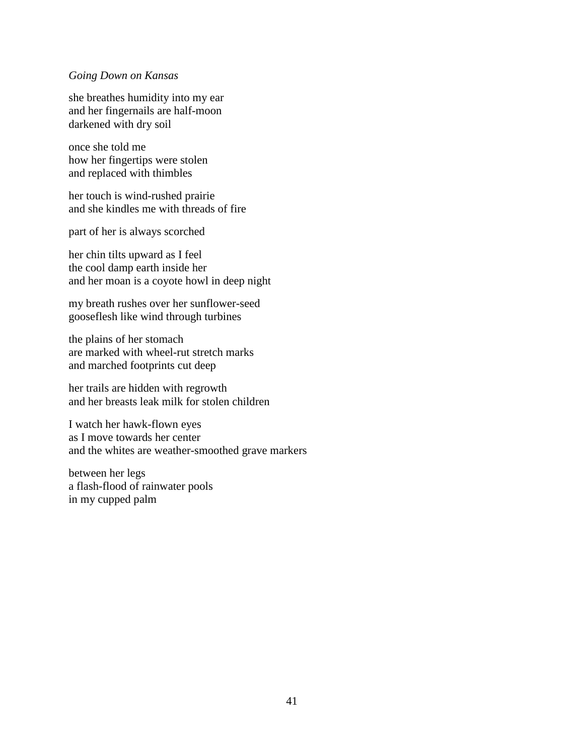#### *Going Down on Kansas*

she breathes humidity into my ear and her fingernails are half-moon darkened with dry soil

once she told me how her fingertips were stolen and replaced with thimbles

her touch is wind-rushed prairie and she kindles me with threads of fire

part of her is always scorched

her chin tilts upward as I feel the cool damp earth inside her and her moan is a coyote howl in deep night

my breath rushes over her sunflower-seed gooseflesh like wind through turbines

the plains of her stomach are marked with wheel-rut stretch marks and marched footprints cut deep

her trails are hidden with regrowth and her breasts leak milk for stolen children

I watch her hawk-flown eyes as I move towards her center and the whites are weather-smoothed grave markers

between her legs a flash-flood of rainwater pools in my cupped palm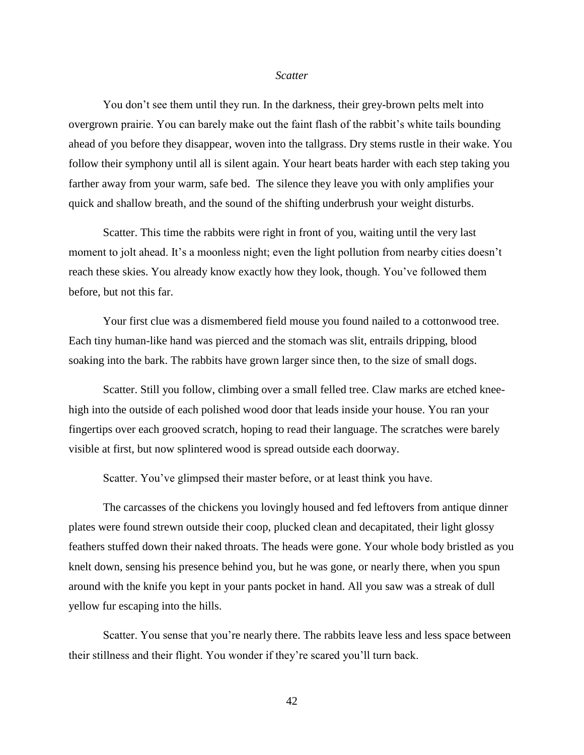#### *Scatter*

You don't see them until they run. In the darkness, their grey-brown pelts melt into overgrown prairie. You can barely make out the faint flash of the rabbit's white tails bounding ahead of you before they disappear, woven into the tallgrass. Dry stems rustle in their wake. You follow their symphony until all is silent again. Your heart beats harder with each step taking you farther away from your warm, safe bed. The silence they leave you with only amplifies your quick and shallow breath, and the sound of the shifting underbrush your weight disturbs.

Scatter. This time the rabbits were right in front of you, waiting until the very last moment to jolt ahead. It's a moonless night; even the light pollution from nearby cities doesn't reach these skies. You already know exactly how they look, though. You've followed them before, but not this far.

Your first clue was a dismembered field mouse you found nailed to a cottonwood tree. Each tiny human-like hand was pierced and the stomach was slit, entrails dripping, blood soaking into the bark. The rabbits have grown larger since then, to the size of small dogs.

Scatter. Still you follow, climbing over a small felled tree. Claw marks are etched kneehigh into the outside of each polished wood door that leads inside your house. You ran your fingertips over each grooved scratch, hoping to read their language. The scratches were barely visible at first, but now splintered wood is spread outside each doorway.

Scatter. You've glimpsed their master before, or at least think you have.

The carcasses of the chickens you lovingly housed and fed leftovers from antique dinner plates were found strewn outside their coop, plucked clean and decapitated, their light glossy feathers stuffed down their naked throats. The heads were gone. Your whole body bristled as you knelt down, sensing his presence behind you, but he was gone, or nearly there, when you spun around with the knife you kept in your pants pocket in hand. All you saw was a streak of dull yellow fur escaping into the hills.

Scatter. You sense that you're nearly there. The rabbits leave less and less space between their stillness and their flight. You wonder if they're scared you'll turn back.

42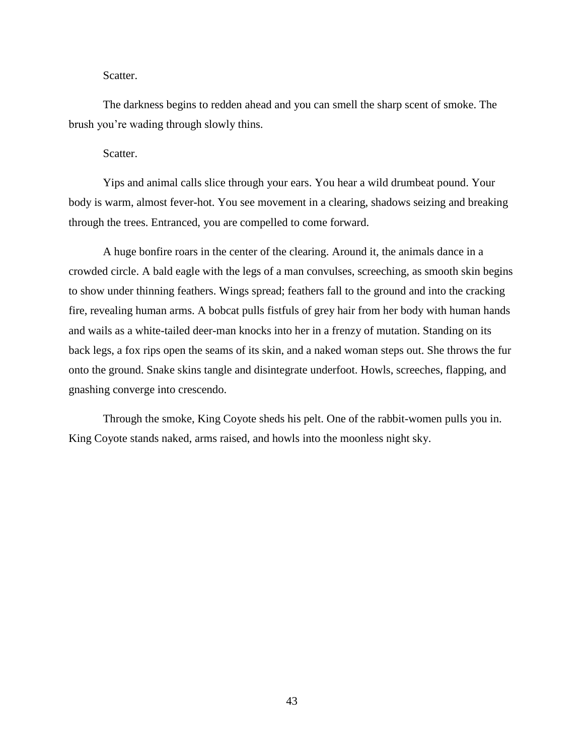#### Scatter.

The darkness begins to redden ahead and you can smell the sharp scent of smoke. The brush you're wading through slowly thins.

Scatter.

Yips and animal calls slice through your ears. You hear a wild drumbeat pound. Your body is warm, almost fever-hot. You see movement in a clearing, shadows seizing and breaking through the trees. Entranced, you are compelled to come forward.

A huge bonfire roars in the center of the clearing. Around it, the animals dance in a crowded circle. A bald eagle with the legs of a man convulses, screeching, as smooth skin begins to show under thinning feathers. Wings spread; feathers fall to the ground and into the cracking fire, revealing human arms. A bobcat pulls fistfuls of grey hair from her body with human hands and wails as a white-tailed deer-man knocks into her in a frenzy of mutation. Standing on its back legs, a fox rips open the seams of its skin, and a naked woman steps out. She throws the fur onto the ground. Snake skins tangle and disintegrate underfoot. Howls, screeches, flapping, and gnashing converge into crescendo.

Through the smoke, King Coyote sheds his pelt. One of the rabbit-women pulls you in. King Coyote stands naked, arms raised, and howls into the moonless night sky.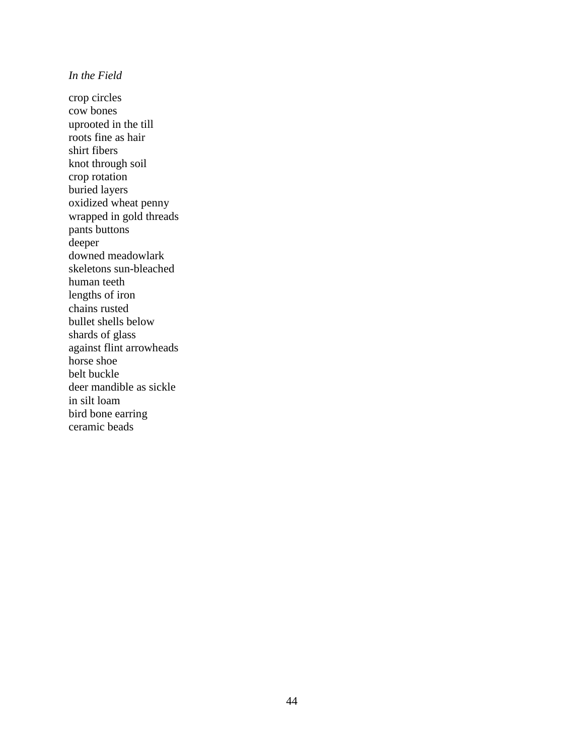## *In the Field*

crop circles cow bones uprooted in the till roots fine as hair shirt fibers knot through soil crop rotation buried layers oxidized wheat penny wrapped in gold threads pants buttons deeper downed meadowlark skeletons sun-bleached human teeth lengths of iron chains rusted bullet shells below shards of glass against flint arrowheads horse shoe belt buckle deer mandible as sickle in silt loam bird bone earring ceramic beads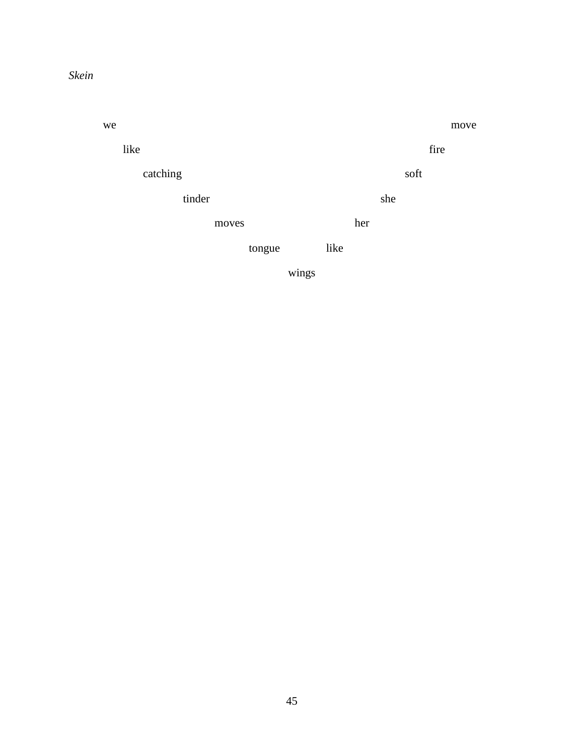# *Skein*

we move move like fire catching soft tinder she moves her tongue like

wings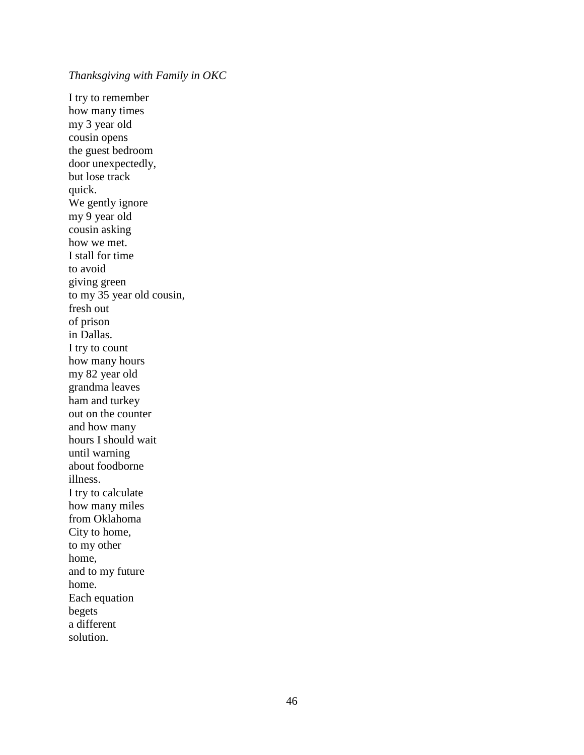*Thanksgiving with Family in OKC*

I try to remember how many times my 3 year old cousin opens the guest bedroom door unexpectedly, but lose track quick. We gently ignore my 9 year old cousin asking how we met. I stall for time to avoid giving green to my 35 year old cousin, fresh out of prison in Dallas. I try to count how many hours my 82 year old grandma leaves ham and turkey out on the counter and how many hours I should wait until warning about foodborne illness. I try to calculate how many miles from Oklahoma City to home, to my other home, and to my future home. Each equation begets a different solution.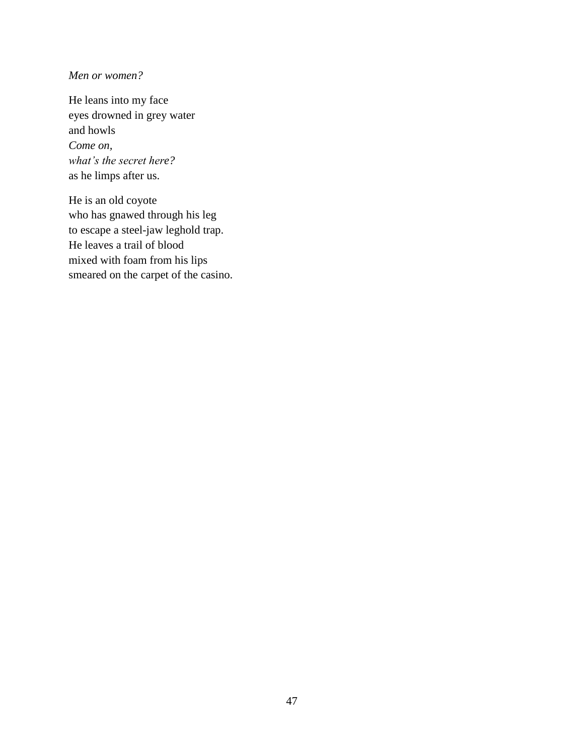## *Men or women?*

He leans into my face eyes drowned in grey water and howls *Come on, what's the secret here?* as he limps after us.

He is an old coyote who has gnawed through his leg to escape a steel-jaw leghold trap. He leaves a trail of blood mixed with foam from his lips smeared on the carpet of the casino.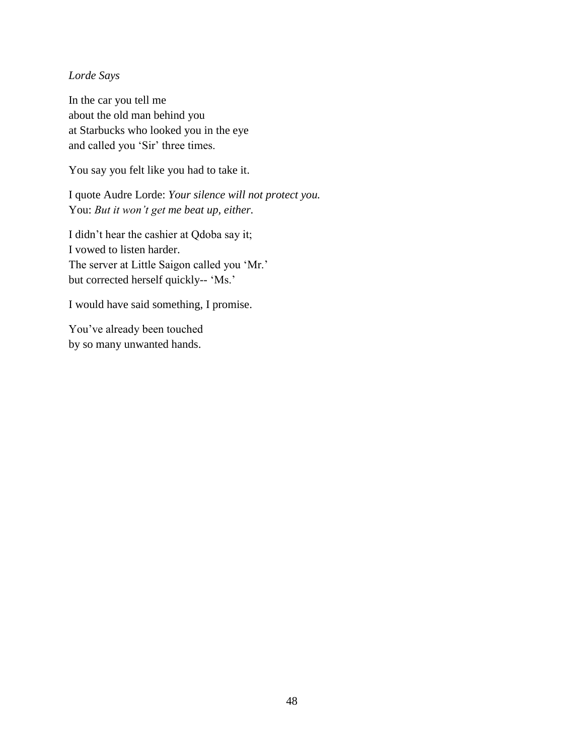## *Lorde Says*

In the car you tell me about the old man behind you at Starbucks who looked you in the eye and called you 'Sir' three times.

You say you felt like you had to take it.

I quote Audre Lorde: *Your silence will not protect you.* You: *But it won't get me beat up, either.*

I didn't hear the cashier at Qdoba say it; I vowed to listen harder. The server at Little Saigon called you 'Mr.' but corrected herself quickly-- 'Ms.'

I would have said something, I promise.

You've already been touched by so many unwanted hands.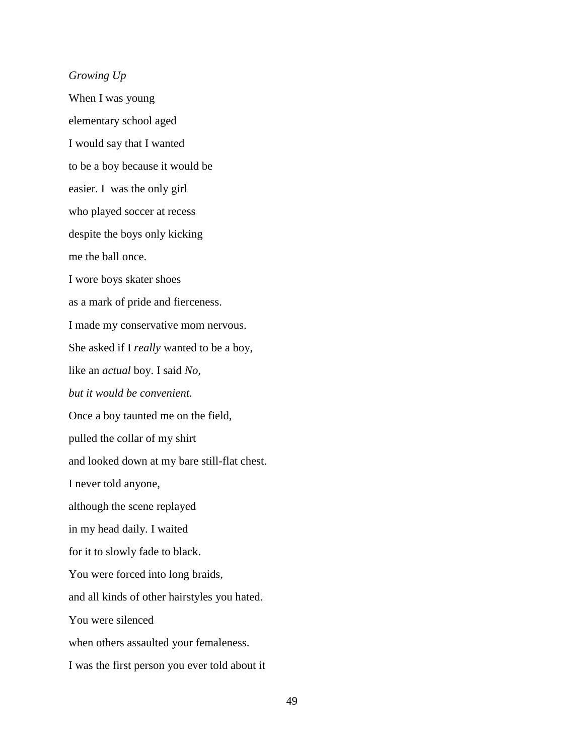*Growing Up* When I was young elementary school aged I would say that I wanted to be a boy because it would be easier. I was the only girl who played soccer at recess despite the boys only kicking me the ball once. I wore boys skater shoes as a mark of pride and fierceness. I made my conservative mom nervous. She asked if I *really* wanted to be a boy, like an *actual* boy. I said *No, but it would be convenient.* Once a boy taunted me on the field, pulled the collar of my shirt and looked down at my bare still-flat chest. I never told anyone, although the scene replayed in my head daily. I waited for it to slowly fade to black. You were forced into long braids, and all kinds of other hairstyles you hated. You were silenced when others assaulted your femaleness. I was the first person you ever told about it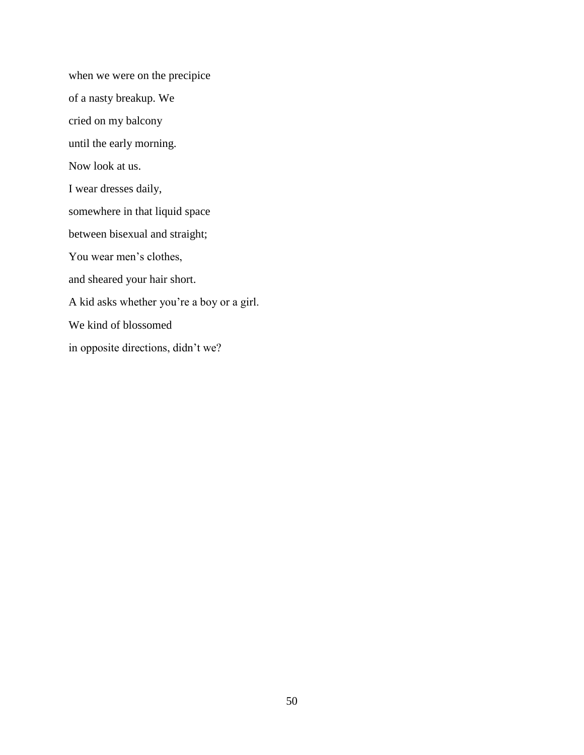when we were on the precipice of a nasty breakup. We cried on my balcony until the early morning. Now look at us. I wear dresses daily, somewhere in that liquid space between bisexual and straight; You wear men's clothes, and sheared your hair short. A kid asks whether you're a boy or a girl. We kind of blossomed in opposite directions, didn't we?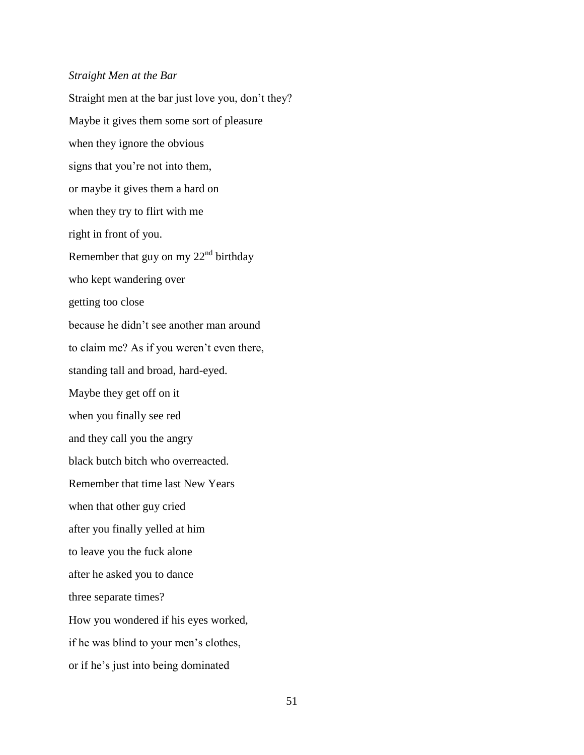#### *Straight Men at the Bar*

Straight men at the bar just love you, don't they? Maybe it gives them some sort of pleasure when they ignore the obvious signs that you're not into them, or maybe it gives them a hard on when they try to flirt with me right in front of you. Remember that guy on my  $22<sup>nd</sup>$  birthday who kept wandering over getting too close because he didn't see another man around to claim me? As if you weren't even there, standing tall and broad, hard-eyed. Maybe they get off on it when you finally see red and they call you the angry black butch bitch who overreacted. Remember that time last New Years when that other guy cried after you finally yelled at him to leave you the fuck alone after he asked you to dance three separate times? How you wondered if his eyes worked, if he was blind to your men's clothes, or if he's just into being dominated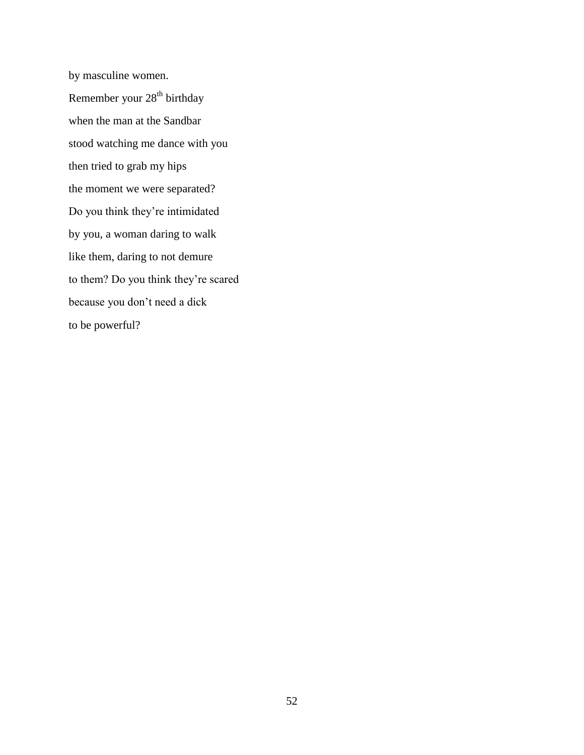by masculine women. Remember your  $28<sup>th</sup>$  birthday when the man at the Sandbar stood watching me dance with you then tried to grab my hips the moment we were separated? Do you think they're intimidated by you, a woman daring to walk like them, daring to not demure to them? Do you think they're scared because you don't need a dick to be powerful?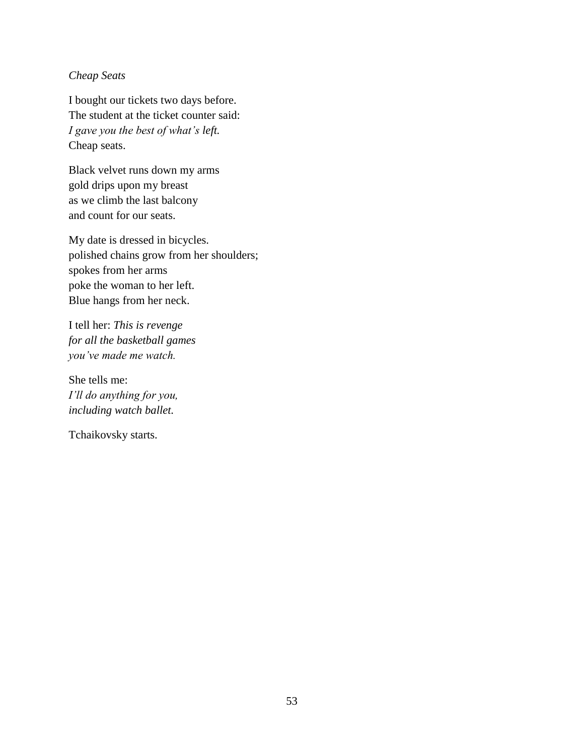## *Cheap Seats*

I bought our tickets two days before. The student at the ticket counter said: *I gave you the best of what's left.* Cheap seats.

Black velvet runs down my arms gold drips upon my breast as we climb the last balcony and count for our seats.

My date is dressed in bicycles. polished chains grow from her shoulders; spokes from her arms poke the woman to her left. Blue hangs from her neck.

I tell her: *This is revenge for all the basketball games you've made me watch.*

She tells me: *I'll do anything for you, including watch ballet.* 

Tchaikovsky starts.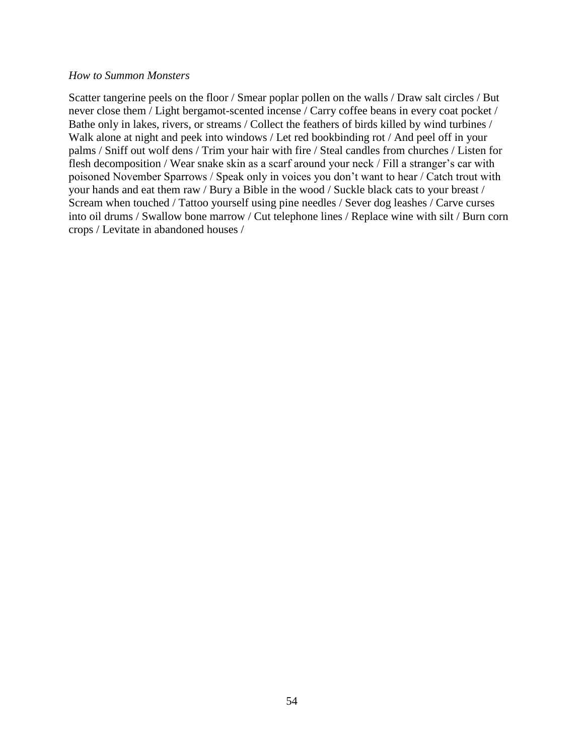#### *How to Summon Monsters*

Scatter tangerine peels on the floor / Smear poplar pollen on the walls / Draw salt circles / But never close them / Light bergamot-scented incense / Carry coffee beans in every coat pocket / Bathe only in lakes, rivers, or streams / Collect the feathers of birds killed by wind turbines / Walk alone at night and peek into windows / Let red bookbinding rot / And peel off in your palms / Sniff out wolf dens / Trim your hair with fire / Steal candles from churches / Listen for flesh decomposition / Wear snake skin as a scarf around your neck / Fill a stranger's car with poisoned November Sparrows / Speak only in voices you don't want to hear / Catch trout with your hands and eat them raw / Bury a Bible in the wood / Suckle black cats to your breast / Scream when touched / Tattoo yourself using pine needles / Sever dog leashes / Carve curses into oil drums / Swallow bone marrow / Cut telephone lines / Replace wine with silt / Burn corn crops / Levitate in abandoned houses /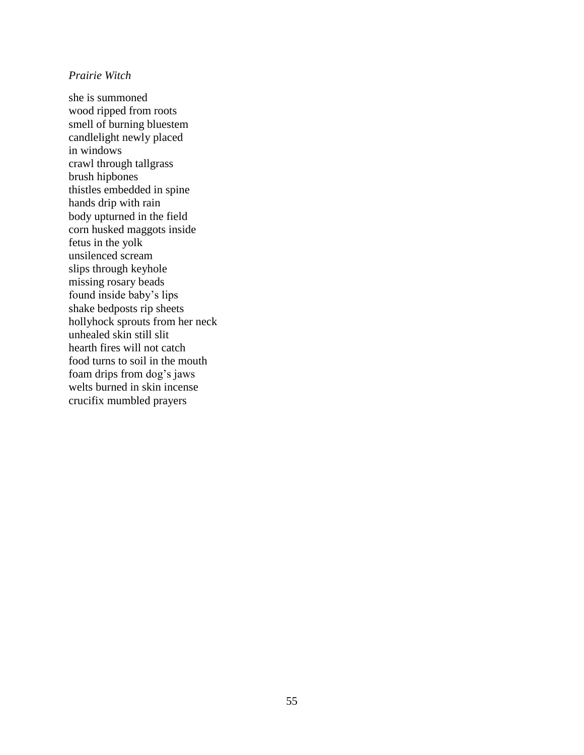#### *Prairie Witch*

she is summoned wood ripped from roots smell of burning bluestem candlelight newly placed in windows crawl through tallgrass brush hipbones thistles embedded in spine hands drip with rain body upturned in the field corn husked maggots inside fetus in the yolk unsilenced scream slips through keyhole missing rosary beads found inside baby's lips shake bedposts rip sheets hollyhock sprouts from her neck unhealed skin still slit hearth fires will not catch food turns to soil in the mouth foam drips from dog's jaws welts burned in skin incense crucifix mumbled prayers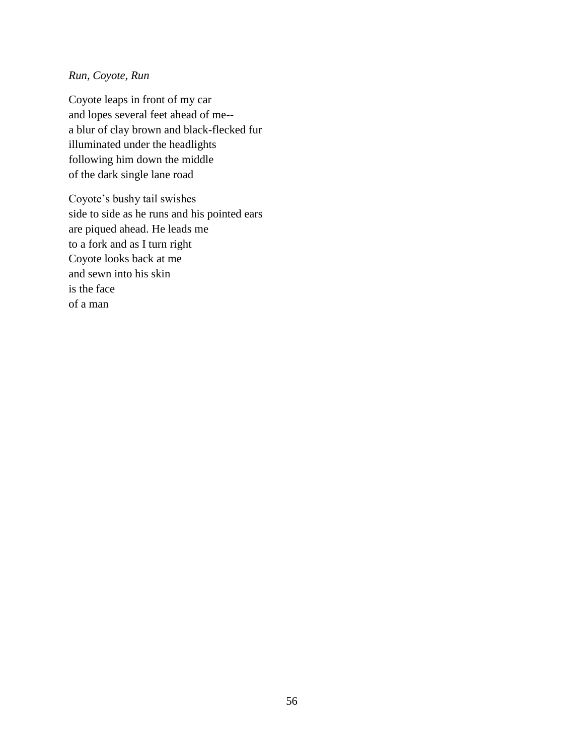## *Run, Coyote, Run*

Coyote leaps in front of my car and lopes several feet ahead of me- a blur of clay brown and black-flecked fur illuminated under the headlights following him down the middle of the dark single lane road

Coyote's bushy tail swishes side to side as he runs and his pointed ears are piqued ahead. He leads me to a fork and as I turn right Coyote looks back at me and sewn into his skin is the face of a man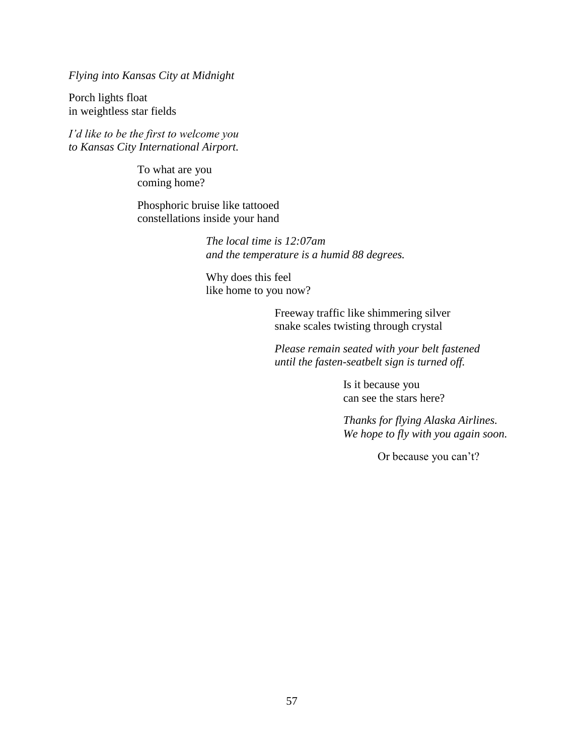*Flying into Kansas City at Midnight* 

Porch lights float in weightless star fields

*I'd like to be the first to welcome you to Kansas City International Airport.* 

> To what are you coming home?

Phosphoric bruise like tattooed constellations inside your hand

> *The local time is 12:07am and the temperature is a humid 88 degrees.*

Why does this feel like home to you now?

> Freeway traffic like shimmering silver snake scales twisting through crystal

*Please remain seated with your belt fastened until the fasten-seatbelt sign is turned off.* 

> Is it because you can see the stars here?

*Thanks for flying Alaska Airlines. We hope to fly with you again soon.* 

Or because you can't?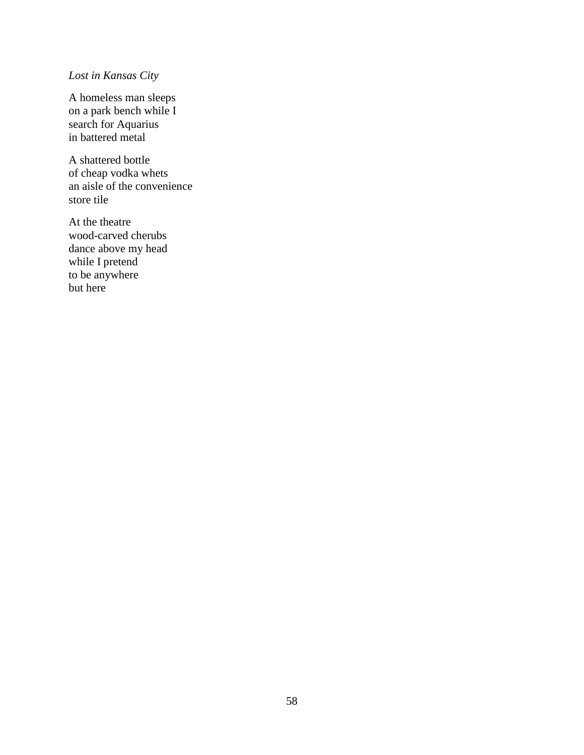# *Lost in Kansas City*

A homeless man sleeps on a park bench while I search for Aquarius in battered metal

A shattered bottle of cheap vodka whets an aisle of the convenience store tile

At the theatre wood-carved cherubs dance above my head while I pretend to be anywhere but here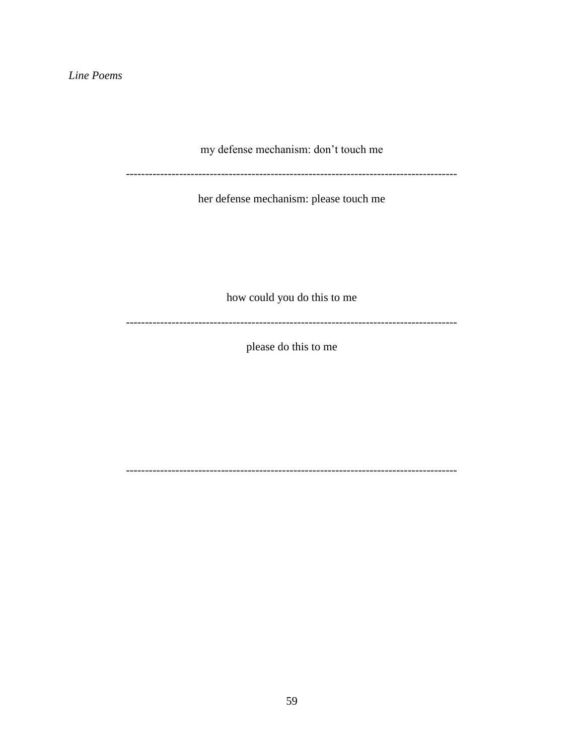Line Poems

my defense mechanism: don't touch me

------------------------

her defense mechanism: please touch me

how could you do this to me

please do this to me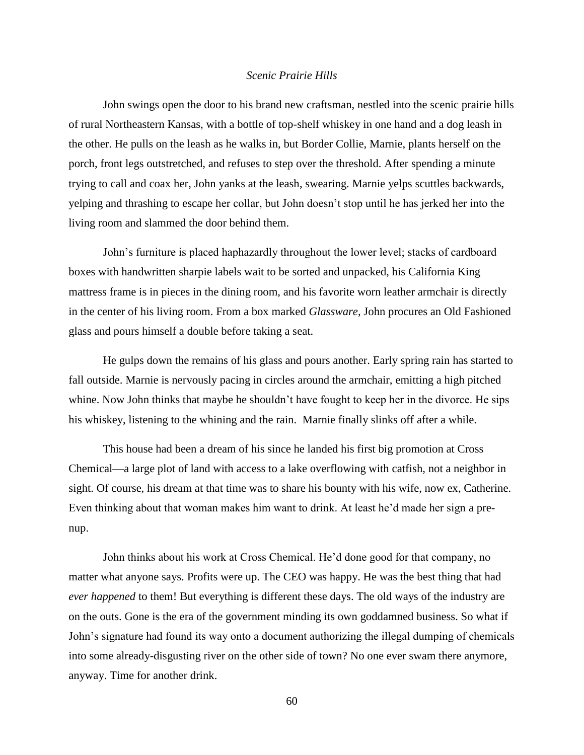#### *Scenic Prairie Hills*

John swings open the door to his brand new craftsman, nestled into the scenic prairie hills of rural Northeastern Kansas, with a bottle of top-shelf whiskey in one hand and a dog leash in the other. He pulls on the leash as he walks in, but Border Collie, Marnie, plants herself on the porch, front legs outstretched, and refuses to step over the threshold. After spending a minute trying to call and coax her, John yanks at the leash, swearing. Marnie yelps scuttles backwards, yelping and thrashing to escape her collar, but John doesn't stop until he has jerked her into the living room and slammed the door behind them.

John's furniture is placed haphazardly throughout the lower level; stacks of cardboard boxes with handwritten sharpie labels wait to be sorted and unpacked, his California King mattress frame is in pieces in the dining room, and his favorite worn leather armchair is directly in the center of his living room. From a box marked *Glassware*, John procures an Old Fashioned glass and pours himself a double before taking a seat.

He gulps down the remains of his glass and pours another. Early spring rain has started to fall outside. Marnie is nervously pacing in circles around the armchair, emitting a high pitched whine. Now John thinks that maybe he shouldn't have fought to keep her in the divorce. He sips his whiskey, listening to the whining and the rain. Marnie finally slinks off after a while.

This house had been a dream of his since he landed his first big promotion at Cross Chemical—a large plot of land with access to a lake overflowing with catfish, not a neighbor in sight. Of course, his dream at that time was to share his bounty with his wife, now ex, Catherine. Even thinking about that woman makes him want to drink. At least he'd made her sign a prenup.

John thinks about his work at Cross Chemical. He'd done good for that company, no matter what anyone says. Profits were up. The CEO was happy. He was the best thing that had *ever happened* to them! But everything is different these days. The old ways of the industry are on the outs. Gone is the era of the government minding its own goddamned business. So what if John's signature had found its way onto a document authorizing the illegal dumping of chemicals into some already-disgusting river on the other side of town? No one ever swam there anymore, anyway. Time for another drink.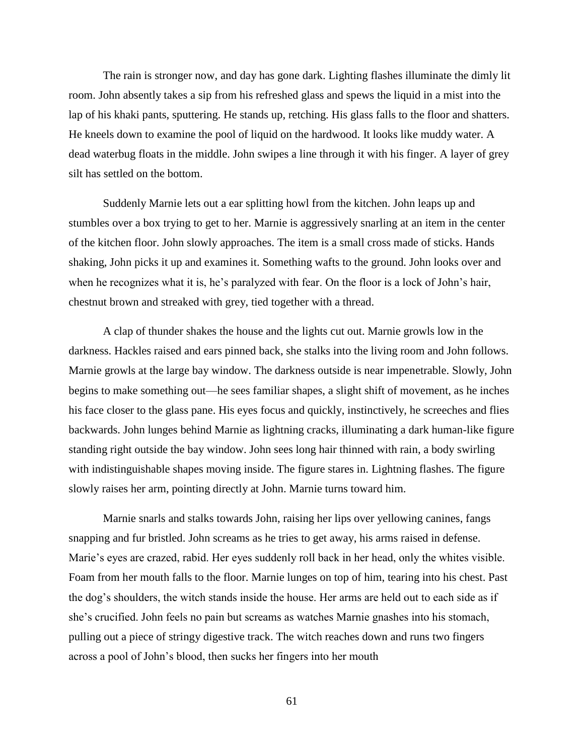The rain is stronger now, and day has gone dark. Lighting flashes illuminate the dimly lit room. John absently takes a sip from his refreshed glass and spews the liquid in a mist into the lap of his khaki pants, sputtering. He stands up, retching. His glass falls to the floor and shatters. He kneels down to examine the pool of liquid on the hardwood. It looks like muddy water. A dead waterbug floats in the middle. John swipes a line through it with his finger. A layer of grey silt has settled on the bottom.

Suddenly Marnie lets out a ear splitting howl from the kitchen. John leaps up and stumbles over a box trying to get to her. Marnie is aggressively snarling at an item in the center of the kitchen floor. John slowly approaches. The item is a small cross made of sticks. Hands shaking, John picks it up and examines it. Something wafts to the ground. John looks over and when he recognizes what it is, he's paralyzed with fear. On the floor is a lock of John's hair, chestnut brown and streaked with grey, tied together with a thread.

A clap of thunder shakes the house and the lights cut out. Marnie growls low in the darkness. Hackles raised and ears pinned back, she stalks into the living room and John follows. Marnie growls at the large bay window. The darkness outside is near impenetrable. Slowly, John begins to make something out—he sees familiar shapes, a slight shift of movement, as he inches his face closer to the glass pane. His eyes focus and quickly, instinctively, he screeches and flies backwards. John lunges behind Marnie as lightning cracks, illuminating a dark human-like figure standing right outside the bay window. John sees long hair thinned with rain, a body swirling with indistinguishable shapes moving inside. The figure stares in. Lightning flashes. The figure slowly raises her arm, pointing directly at John. Marnie turns toward him.

Marnie snarls and stalks towards John, raising her lips over yellowing canines, fangs snapping and fur bristled. John screams as he tries to get away, his arms raised in defense. Marie's eyes are crazed, rabid. Her eyes suddenly roll back in her head, only the whites visible. Foam from her mouth falls to the floor. Marnie lunges on top of him, tearing into his chest. Past the dog's shoulders, the witch stands inside the house. Her arms are held out to each side as if she's crucified. John feels no pain but screams as watches Marnie gnashes into his stomach, pulling out a piece of stringy digestive track. The witch reaches down and runs two fingers across a pool of John's blood, then sucks her fingers into her mouth

61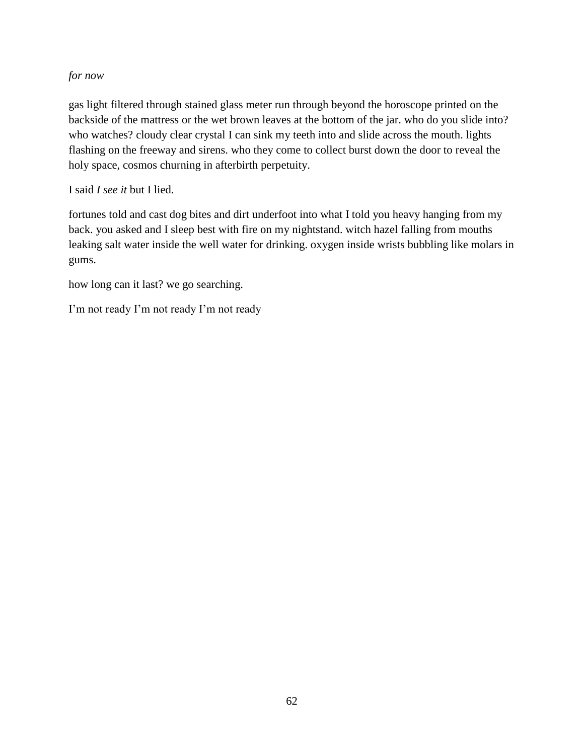## *for now*

gas light filtered through stained glass meter run through beyond the horoscope printed on the backside of the mattress or the wet brown leaves at the bottom of the jar. who do you slide into? who watches? cloudy clear crystal I can sink my teeth into and slide across the mouth. lights flashing on the freeway and sirens. who they come to collect burst down the door to reveal the holy space, cosmos churning in afterbirth perpetuity.

I said *I see it* but I lied.

fortunes told and cast dog bites and dirt underfoot into what I told you heavy hanging from my back. you asked and I sleep best with fire on my nightstand. witch hazel falling from mouths leaking salt water inside the well water for drinking. oxygen inside wrists bubbling like molars in gums.

how long can it last? we go searching.

I'm not ready I'm not ready I'm not ready